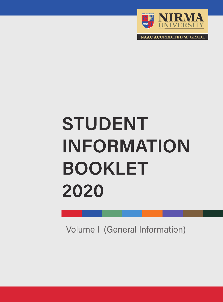

**ACCREDITED 'A' GRADE** 

# **STUDENT INFORMATION BOOKLET** 2020

Volume I (General Information)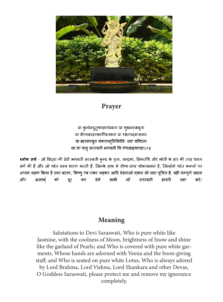

## Prayer

या कुन्देन्दुतुषारहारधवला या शुभ्रवस्त्रावृता या वीणावरदण्डमण्डितकरा या श्वेतपदमासना। या ब्रहमाच्युत शंकरप्रभृतिभिर्देवैः सदा वन्दिता सा मां पात् सरस्वती भगवती निःशेषजाड्यापहा॥१॥

श्लोक अर्थ - जो विद्या की देवी भगवती सरस्वती कुन्द के फूल, चन्द्रमा, हिमराशि और मोती के हार की तरह धवल वर्ण की हैं और जो श्वेत वस्त्र धारण करती हैं, जिनके हाथ में वीणा-दण्ड शोभायमान है, जिन्होंने श्वेत कमलों पर आसन ग्रहण किया है तथा ब्रहमा, विष्णु एवं शंकर शड़कर आदि देवताओं दवारा जो सदा पुजित हैं, वही सम्पूर्ण जड़ता और वाली माँ सरस्वती हमारी करें। अज्ञान| को दूर कर देने रक्षा

## Meaning

Salutations to Devi Saraswati, Who is pure white like Jasmine, with the coolness of Moon, brightness of Snow and shine like the garland of Pearls; and Who is covered with pure white garments, Whose hands are adorned with Veena and the boon-giving staff; and Who is seated on pure white Lotus, Who is always adored by Lord Brahma, Lord Vishnu, Lord Shankara and other Devas, O Goddess Saraswati, please protect me and remove my ignorance completely.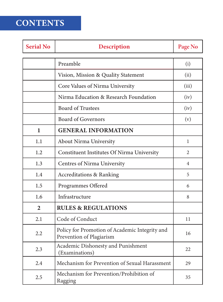## CONTENTS

| <b>Serial No</b> | <b>Description</b>                                                         |                |
|------------------|----------------------------------------------------------------------------|----------------|
|                  | Preamble                                                                   | (i)            |
|                  | Vision, Mission & Quality Statement                                        | (ii)           |
|                  | Core Values of Nirma University                                            | (iii)          |
|                  | Nirma Education & Research Foundation                                      | (iv)           |
|                  | <b>Board of Trustees</b>                                                   | (iv)           |
|                  | <b>Board of Governors</b>                                                  | (v)            |
| $\mathbf{1}$     | <b>GENERAL INFORMATION</b>                                                 |                |
| 1.1              | <b>About Nirma University</b>                                              | 1              |
| 1.2              | <b>Constituent Institutes Of Nirma University</b>                          | $\overline{2}$ |
| 1.3              | Centres of Nirma University                                                | 4              |
| 1.4              | <b>Accreditations &amp; Ranking</b>                                        | 5              |
| 1.5              | Programmes Offered                                                         | 6              |
| 1.6              | Infrastructure                                                             | 8              |
| $\overline{2}$   | <b>RULES &amp; REGULATIONS</b>                                             |                |
| 2.1              | Code of Conduct                                                            | 11             |
| 2.2              | Policy for Promotion of Academic Integrity and<br>Prevention of Plagiarism | 16             |
| 2.3              | Academic Dishonesty and Punishment<br>(Examinations)                       |                |
| 2.4              | Mechanism for Prevention of Sexual Harassment                              | 29             |
| 2.5              | Mechanism for Prevention/Prohibition of<br>Ragging                         | 35             |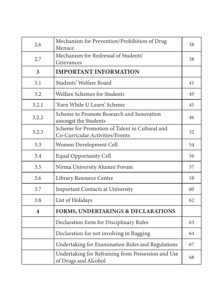| 2.6                     | Mechanism for Prevention/Prohibition of Drug<br>Menace                            |    |
|-------------------------|-----------------------------------------------------------------------------------|----|
| 2.7                     | Mechanism for Redressal of Students'<br>Grievances                                | 38 |
| 3                       | <b>IMPORTANT INFORMATION</b>                                                      |    |
| 3.1                     | Students' Welfare Board                                                           | 41 |
| 3.2                     | Welfare Schemes for Students                                                      | 45 |
| 3.2.1                   | 'Earn While U Learn' Scheme                                                       | 45 |
| 3.2.2                   | Scheme to Promote Research and Innovation<br>amongst the Students                 | 46 |
| 3.2.3                   | Scheme for Promotion of Talent in Cultural and<br>Co-Curricular Activities/Events | 52 |
| 3.3                     | Women Development Cell                                                            | 54 |
| 3.4                     | <b>Equal Opportunity Cell</b>                                                     | 56 |
| 3.5                     | Nirma University Alumni Forum                                                     | 57 |
| 3.6                     | Library Resource Centre                                                           | 58 |
| 3.7                     | <b>Important Contacts at University</b>                                           | 60 |
| 3.8                     | List of Holidays                                                                  | 62 |
| $\overline{\mathbf{4}}$ | <b>FORMS, UNDERTAKINGS &amp; DECLARATIONS</b>                                     |    |
|                         | Declaration form for Disciplinary Rules                                           | 63 |
|                         | Declaration for not involving in Ragging                                          | 64 |
|                         | Undertaking for Examination Rules and Regulations                                 | 67 |
|                         | Undertaking for Refraining from Possession and Use<br>of Drugs and Alcohol        | 68 |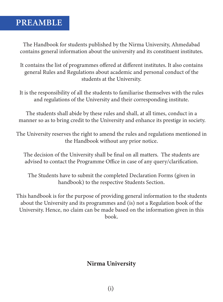## PREAMBLE

The Handbook for students published by the Nirma University, Ahmedabad contains general information about the university and its constituent institutes.

It contains the list of programmes offered at different institutes. It also contains general Rules and Regulations about academic and personal conduct of the students at the University.

It is the responsibility of all the students to familiarise themselves with the rules and regulations of the University and their corresponding institute.

The students shall abide by these rules and shall, at all times, conduct in a manner so as to bring credit to the University and enhance its prestige in society.

The University reserves the right to amend the rules and regulations mentioned in the Handbook without any prior notice.

The decision of the University shall be final on all matters. The students are advised to contact the Programme Office in case of any query/clarification.

The Students have to submit the completed Declaration Forms (given in handbook) to the respective Students Section.

This handbook is for the purpose of providing general information to the students about the University and its programmes and (is) not a Regulation book of the University. Hence, no claim can be made based on the information given in this book.

## Nirma University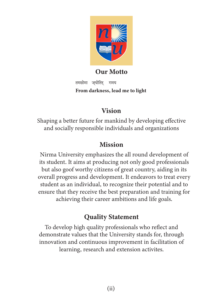

## Our Motto

तमसोमा ज्योितर् गमय From darkness, lead me to light

## Vision

Shaping a better future for mankind by developing effective and socially responsible individuals and organizations

## Mission

Nirma University emphasizes the all round development of its student. It aims at producing not only good professionals but also goof worthy citizens of great country, aiding in its overall progress and development. It endeavors to treat every student as an individual, to recognize their potential and to ensure that they receive the best preparation and training for achieving their career ambitions and life goals.

## Quality Statement

To develop high quality professionals who reflect and demonstrate values that the University stands for, through innovation and continuous improvement in facilitation of learning, research and extension activites.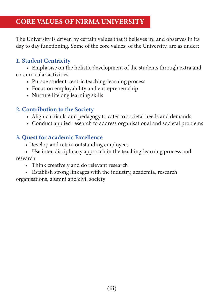The University is driven by certain values that it believes in; and observes in its day to day functioning. Some of the core values, of the University, are as under:

## 1. Student Centricity

 • Emphasise on the holistic development of the students through extra and co-curricular activities

- Pursue student-centric teaching-learning process
- Focus on employability and entrepreneurship
- Nurture lifelong learning skills

## 2. Contribution to the Society

- Align curricula and pedagogy to cater to societal needs and demands
- Conduct applied research to address organisational and societal problems

## 3. Quest for Academic Excellence

- Develop and retain outstanding employees
- Use inter-disciplinary approach in the teaching-learning process and research
	- Think creatively and do relevant research
- Establish strong linkages with the industry, academia, research organisations, alumni and civil society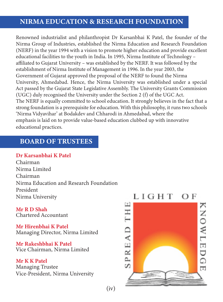## NIRMA EDUCATION & RESEARCH FOUNDATION

Renowned industrialist and philanthropist Dr Karsanbhai K Patel, the founder of the Nirma Group of Industries, established the Nirma Education and Research Foundation (NERF) in the year 1994 with a vision to promote higher education and provide excellent educational facilities to the youth in India. In 1995, Nirma Institute of Technology – affiliated to Gujarat University – was established by the NERF. It was followed by the establishment of Nirma Institute of Management in 1996. In the year 2003, the Government of Gujarat approved the proposal of the NERF to found the Nirma University, Ahmedabad. Hence, the Nirma University was established under a special Act passed by the Gujarat State Legislative Assembly. The University Grants Commission (UGC) duly recognised the University under the Section 2 (f) of the UGC Act. The NERF is equally committed to school education. It strongly believes in the fact that a strong foundation is a prerequisite for education. With this philosophy, it runs two schools 'Nirma Vidyavihar' at Bodakdev and Chharodi in Ahmedabad, where the emphasis is laid on to provide value-based education clubbed up with innovative educational practices.

## BOARD OF TRUSTEES

## Dr Karsanbhai K Patel

Chairman Nirma Limited Chairman Nirma Education and Research Foundation President Nirma University

Mr R D Shah Chartered Accountant

Mr Hirenbhai K Patel Managing Director, Nirma Limited

Mr Rakeshbhai K Patel Vice Chairman, Nirma Limited

Mr K K Patel Managing Trustee Vice-President, Nirma University



 $(iv)$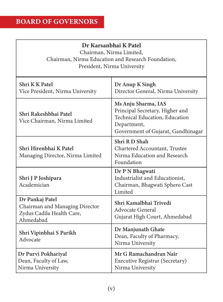## Dr Karsanbhai K Patel

Chairman, Nirma Limited,

Chairman, Nirma Education and Research Foundation, President, Nirma University

| Shri K K Patel<br>Vice President, Nirma University                                          | Dr Anup K Singh<br>Director General, Nirma University                                                                                                 |
|---------------------------------------------------------------------------------------------|-------------------------------------------------------------------------------------------------------------------------------------------------------|
| Shri Rakeshbhai Patel<br>Vice Chairman, Nirma Limited                                       | Ms Anju Sharma, IAS<br>Principal Secretary, Higher and<br><b>Technical Education</b> , Education<br>Department,<br>Government of Gujarat, Gandhinagar |
| Shri Hirenbhai K Patel<br>Managing Director, Nirma Limited                                  | Shri R D Shah<br>Chartered Accountant, Trustee<br>Nirma Education and Research<br>Foundation                                                          |
| Shri J P Joshipara<br>Academician                                                           | Dr P N Bhagwati<br>Industrialist and Educationist,<br>Chairman, Bhagwati Sphero Cast<br>Limited                                                       |
| Dr Pankaj Patel<br>Chairman and Managing Director<br>Zydus Cadila Health Care,<br>Ahmedabad | Shri Kamalbhai Trivedi<br><b>Advocate General</b><br>Gujarat High Court, Ahmedabad                                                                    |
| Shri Vipinbhai S Parikh<br>Advocate                                                         | Dr Manjunath Ghate<br>Dean, Faculty of Pharmacy,<br>Nirma University                                                                                  |
| Dr Purvi Pokhariyal<br>Dean, Faculty of Law,<br>Nirma University                            | Mr G Ramachandran Nair<br>Executive Registrar (Secretary)<br>Nirma University                                                                         |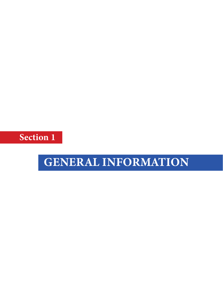Section 1

## GENERAL INFORMATION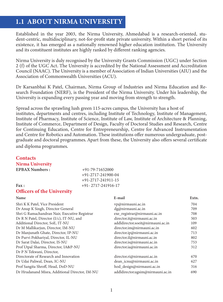## 1.1 ABOUT NIRMA UNIVERSITY

Established in the year 2003, the Nirma University, Ahmedabad is a research-oriented, student-centric, multidisciplinary, not-for-profit state private university. Within a short period of its existence, it has emerged as a nationally renowned higher education institution. The University and its constituent institutes are highly ranked by different ranking agencies.

Nirma University is duly recognised by the University Grants Commission (UGC) under Section 2 (f) of the UGC Act. The University is accredited by the National Assessment and Accreditation Council (NAAC). The University is a member of Association of Indian Universities (AIU) and the Association of Commonwealth Universities (ACU).

Dr Karsanbhai K Patel, Chairman, Nirma Group of Industries and Nirma Education and Research Foundation (NERF), is the President of the Nirma University. Under his leadership, the University is expanding every passing year and moving from strength to strength.

Spread across the sprawling lush green 115-acres campus, the University has a host of institutes, departments and centres, including Institute of Technology, Institute of Management, Institute of Pharmacy, Institute of Science, Institute of Law, Institute of Architecture & Planning, Institute of Commerce, Department of Design, Faculty of Doctoral Studies and Research, Centre for Continuing Education, Centre for Entrepreneurship, Centre for Advanced Instrumentation and Centre for Robotics and Automation. These institutions offer numerous undergraduate, postgraduate and doctoral programmes. Apart from these, the University also offers several certificate and diploma programmes.

## **Contacts**

## Nirma University

EPBAX Numbers :  $+91-79-71652000$  +91-2717-241900-04 +91-2717-241911-15  $\text{Fax :}$  +91- 2717-241916-17

#### Officers of the University

| Name                                           | E-mail                            | Extn. |
|------------------------------------------------|-----------------------------------|-------|
| Shri K K Patel, Vice President                 | vp@nirmauni.ac.in                 | 704   |
| Dr Anup K Singh, Director General              | dg@nirmauni.ac.in                 | 709   |
| Shri G Ramachandran Nair, Executive Registrar  | exe_registrar@nirmauni.ac.in      | 708   |
| Dr R N Patel, Director (I/c), IT-NU, and       | director.it@nirmauni.ac.in        | 503   |
| Additional Director, SoE, IT-NU                | addldirector.soeit@nirmauni.ac.in | 109   |
| Dr M Mallikarjun, Director, IM-NU              | director.im@nirmauni.ac.in        | 602   |
| Dr Manjunath Ghate, Director, IP-NU            | director.ip@nirmauni.ac.in        | 713   |
| Dr Purvi Pokhariyal, Director, IL-NU           | director.il@nirmauni.ac.in        | 802   |
| Dr Sarat Dalai, Director, IS-NU                | director.is@nirmauni.ac.in        | 753   |
| Prof Utpal Sharma, Director, IA&P-NU           | director.ia@nirmauni.ac.in        | 312   |
| Dr P N Tekwani, Director,                      |                                   |       |
| Directorate of Research and Innovation         | director.ri@nirmauni.ac.in        | 670   |
| Dr Udai Paliwal, Dean, IC-NU                   | dean_icnu@nirmauni.ac.in          | 627   |
| Prof Sangita Shroff, Head, DoD-NU              | hod_design@nirmauni.ac.in         | 316   |
| Dr Hrudanand Misra, Additional Director, IM-NU | addldirector.ugsim@nirmauni.ac.in | 690   |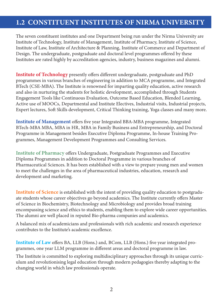## 1.2 CONSTITUENT INSTITUTES OF NIRMA UNIVERSITY

The seven constituent institutes and one Department being run under the Nirma University are Institute of Technology, Institute of Management, Institute of Pharmacy, Institute of Science, Institute of Law, Institute of Architecture & Planning, Institute of Commerce and Department of Design. The undergraduate, postgraduate and doctoral level programmes offered by these Institutes are rated highly by accreditation agencies, industry, business magazines and alumni.

Institute of Technology presently offers different undergraduate, postgraduate and PhD programmes in various branches of engineering in addition to MCA programme, and Integrated BTech (CSE-MBA). The Institute is renowned for imparting quality education, active research and also in nurturing the students for holistic development, accomplished through Students Engagement Tools like Continuous Evaluation, Outcome Based Education, Blended Learning, Active use of MOOCs, Departmental and Institute Electives, Industrial visits, Industrial projects, Expert lectures, Soft Skills development, Critical Thinking training, Yoga classes and many more.

Institute of Management offers five year Integrated BBA-MBA programme, Integrated BTech-MBA MBA, MBA in HR, MBA in Family Business and Entrepreneurship, and Doctoral Programme in Management besides Executive Diploma Programme, In-house Training Programmes, Management Development Programmes and Consulting Services.

Institute of Pharmacy offers Undergraduate, Postgraduate Programmes and Executive Diploma Programmes in addition to Doctoral Programme in various branches of Pharmaceutical Sciences. It has been established with a view to prepare young men and women to meet the challenges in the area of pharmaceutical industries, education, research and development and marketing.

Institute of Science is established with the intent of providing quality education to postgraduate students whose career objectives go beyond academics. The Institute currently offers Master of Science in Biochemistry, Biotechnology and Microbiology and provides broad training encompassing science and ethics to students, enabling them to explore wide career opportunities. The alumni are well placed in reputed Bio-pharma companies and academics.

A balanced mix of academicians and professionals with rich academic and research experience contributes to the Institute's academic excellence.

Institute of Law offers BA, LLB (Hons.) and, BCom, LLB (Hons.) five year integrated programmes, one year LLM programme in different areas and doctoral programme in law.

The Institute is committed to exploring multidisciplinary approaches through its unique curriculum and revolutionising legal education through modern pedagogies thereby adapting to the changing world in which law professionals operate.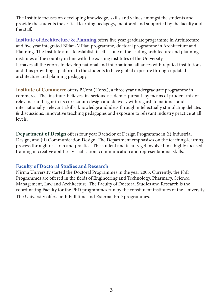The Institute focuses on developing knowledge, skills and values amongst the students and provide the students the critical learning pedagogy, mentored and supported by the faculty and the staff.

Institute of Architecture & Planning offers five year graduate programme in Architecture and five year integrated BPlan-MPlan programme, doctoral programme in Architecture and Planning. The Institute aims to establish itself as one of the leading architecture and planning institutes of the country in line with the existing institutes of the University. It makes all the efforts to develop national and international alliances with reputed institutions, and thus providing a platform to the students to have global exposure through updated architecture and planning pedagogy.

Institute of Commerce offers BCom (Hons.), a three year undergraduate programme in commerce. The institute believes in serious academic pursuit by means of prudent mix of relevance and rigor in its curriculum design and delivery with regard to national and internationally relevant skills, knowledge and ideas through intellectually stimulating debates & discussions, innovative teaching pedagogies and exposure to relevant industry practice at all levels.

Department of Design offers four year Bachelor of Design Programme in (i) Industrial Design, and (ii) Communication Design. The Department emphasises on the teaching-learning process through research and practice. The student and faculty get involved in a highly focused training in creative abilities, visualisation, communication and representational skills.

## Faculty of Doctoral Studies and Research

Nirma University started the Doctoral Programmes in the year 2003. Currently, the PhD Programmes are offered in the fields of Engineering and Technology, Pharmacy, Science, Management, Law and Architecture. The Faculty of Doctoral Studies and Research is the coordinating Faculty for the PhD programmes run by the constituent institutes of the University. The University offers both Full time and External PhD programmes.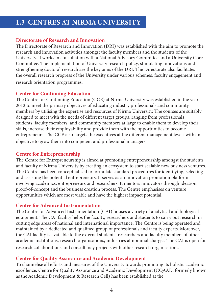## 1.3 CENTRES AT NIRMA UNIVERSITY

## Directorate of Research and Innovation

The Directorate of Research and Innovation (DRI) was established with the aim to promote the research and innovation activities amongst the faculty members and the students of the University. It works in consultation with a National Advisory Committee and a University Core Committee. The implementation of University research policy, stimulating innovations and strengthening doctoral research are the key aims of the DRI. The Directorate also facilitates the overall research progress of the University under various schemes, faculty engagement and research orientation programmes.

## Centre for Continuing Education

The Centre for Continuing Education (CCE) at Nirma University was established in the year 2012 to meet the primary objectives of educating industry professionals and community members by utilising the expertise and resources of Nirma University. The courses are suitably designed to meet with the needs of different target groups, ranging from professionals, students, faculty members, and community members at large to enable them to develop their skills, increase their employability and provide them with the opportunities to become entrepreneurs. The CCE also targets the executives at the different management levels with an objective to grow them into competent and professional managers.

## Centre for Entrepreneurship

The Centre for Entrepreneurship is aimed at promoting entrepreneurship amongst the students and faculty of Nirma University by creating an ecosystem to start scalable new business ventures. The Centre has been conceptualised to formulate standard procedures for identifying, selecting and assisting the potential entrepreneurs. It serves as an innovation promotion platform involving academics, entrepreneurs and researchers. It mentors innovators through ideation, proof-of-concept and the business creation process. The Centre emphasises on venture opportunities which are most viable and have the highest impact potential.

## Centre for Advanced Instrumentation

The Centre for Advanced Instrumentation (CAI) houses a variety of analytical and biological equipment. The CAI facility helps the faculty, researchers and students to carry out research in cutting edge areas of national and international importance. The Centre is being operated and maintained by a dedicated and qualified group of professionals and faculty experts. Moreover, the CAI facility is available to the external students, researchers and faculty members of other academic institutions, research organisations, industries at nominal charges. The CAI is open for research collaborations and consultancy projects with other research organisations.

## Centre for Quality Assurance and Academic Development

To channelise all efforts and measures of the University towards promoting its holistic academic excellence, Centre for Quality Assurance and Academic Development (CQAAD, formerly known as the Academic Development & Research Cell) has been established at the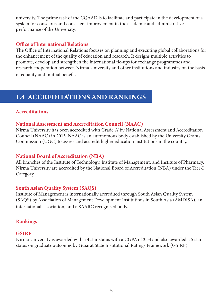university. The prime task of the CQAAD is to facilitate and participate in the development of a system for conscious and consistent improvement in the academic and administrative performance of the University.

## Office of International Relations

The Office of International Relations focuses on planning and executing global collaborations for the enhancement of the quality of education and research. It designs multiple activities to promote, develop and strengthen the international tie-ups for exchange programmes and research cooperation between Nirma University and other institutions and industry on the basis of equality and mutual benefit.

## 1.4 ACCREDITATIONS AND RANKINGS

## Accreditations

## National Assessment and Accreditation Council (NAAC)

Nirma University has been accredited with Grade 'A' by National Assessment and Accreditation Council (NAAC) in 2015. NAAC is an autonomous body established by the University Grants Commission (UGC) to assess and accredit higher education institutions in the country.

## National Board of Accreditation (NBA)

All branches of the Institute of Technology, Institute of Management, and Institute of Pharmacy, Nirma University are accredited by the National Board of Accreditation (NBA) under the Tier-I Category.

## South Asian Quality System (SAQS)

Institute of Management is internationally accredited through South Asian Quality System (SAQS) by Association of Management Development Institutions in South Asia (AMDISA), an international association, and a SAARC recognised body.

## Rankings

## **GSIRF**

Nirma University is awarded with a 4 star status with a CGPA of 3.54 and also awarded a 5 star status on graduate outcomes by Gujarat State Institutional Ratings Framework (GSIRF).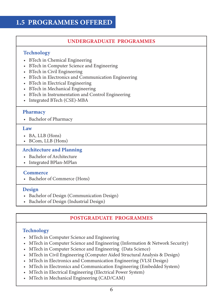## 1.5 PROGRAMMES OFFERED

## UNDERGRADUATE PROGRAMMES

## Technology

- BTech in Chemical Engineering
- BTech in Computer Science and Engineering
- BTech in Civil Engineering
- BTech in Electronics and Communication Engineering
- BTech in Electrical Engineering
- BTech in Mechanical Engineering
- BTech in Instrumentation and Control Engineering
- Integrated BTech (CSE)-MBA

#### **Pharmacy**

• Bachelor of Pharmacy

#### Law

- BA, LLB (Hons)
- BCom, LLB (Hons)

#### Architecture and Planning

- Bachelor of Architecture
- Integrated BPlan-MPlan

#### **Commerce**

• Bachelor of Commerce (Hons)

#### Design

- Bachelor of Design (Communication Design)
- Bachelor of Design (Industrial Design)

## POSTGRADUATE PROGRAMMES

## **Technology**

- MTech in Computer Science and Engineering
- MTech in Computer Science and Engineering (Information & Network Security)
- MTech in Computer Science and Engineering (Data Science)
- MTech in Civil Engineering (Computer Aided Structural Analysis & Design)
- MTech in Electronics and Communication Engineering (VLSI Design)
- MTech in Electronics and Communication Engineering (Embedded System)
- MTech in Electrical Engineering (Electrical Power System)
- MTech in Mechanical Engineering (CAD/CAM)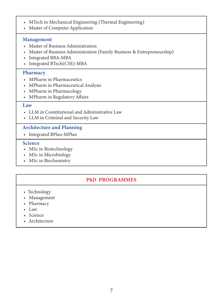- MTech in Mechanical Engineering (Thermal Engineering)
- Master of Computer Application

#### Management

- Master of Business Administration
- Master of Business Administration (Family Business & Entrepreneurship)
- Integrated BBA-MBA
- Integrated BTech(CSE)-MBA

## **Pharmacy**

- MPharm in Pharmaceutics
- MPharm in Pharmaceutical Analysis
- MPharm in Pharmacology
- MPharm in Regulatory Affairs

#### Law

- LLM in Constitutional and Administrative Law
- LLM in Criminal and Security Law

## Architecture and Planning

• Integrated BPlan-MPlan

## Science

- MSc in Biotechnology
- MSc in Microbiology
- MSc in Biochemistry

## PhD PROGRAMMES

- Technology
- Management
- Pharmacy
- Law
- Science
- Architecture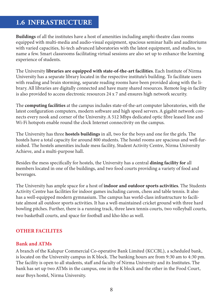## 1.6 INFRASTRUCTURE

Buildings of all the institutes have a host of amenities including amphi-theatre class rooms equipped with multi-media and audio-visual equipment, spacious seminar halls and auditoriums with varied capacities, hi-tech advanced laboratories with the latest equipment, and studios, to name a few. Smart classrooms facilitating virtual sessions are also set up to enhance the learning experience of students.

The University libraries are equipped with state-of-the-art facilities. Each Institute of Nirma University has a separate library located in the respective institute's building. To facilitate users with reading and brain storming, separate reading rooms have been provided along with the library. All libraries are digitally connected and have many shared resources. Remote log-in facility is also provided to access electronic resources 24 x 7 and ensures high network security.

The computing facilities at the campus includes state-of-the-art computer laboratories, with the latest configuration computers, modern software and high speed servers. A gigabit network connects every nook and corner of the University. A 512 Mbps dedicated optic fibre leased line and Wi-Fi hotspots enable round the clock Internet connectivity on the campus.

The University has three **hostels buildings** in all, two for the boys and one for the girls. The hostels have a total capacity for around 800 students. The hostel rooms are spacious and well-furnished. The hostels amenities include mess facility, Student Activity Centre, Nirma University Achieve, and a multi-purpose hall.

Besides the mess specifically for hostels, the University has a central dining facility for all members located in one of the buildings, and two food courts providing a variety of food and beverages.

The University has ample space for a host of **indoor and outdoor sports activities**. The Students Activity Centre has facilities for indoor games including carom, chess and table tennis. It also has a well-equipped modern gymnasium. The campus has world-class infrastructure to facilitate almost all outdoor sports activities. It has a well-maintained cricket ground with three hard bowling pitches. Further, there is a running track, three lawn tennis courts, two volleyball courts, two basketball courts, and space for football and kho-kho as well.

## OTHER FACILITES

#### Bank and ATMs

A branch of the Kalupur Commercial Co-operative Bank Limited (KCCBL), a scheduled bank, is located on the University campus in K block. The banking hours are from 9:30 am to 4:30 pm. The facility is open to all students, staff and faculty of Nirma University and its Institutes. The bank has set up two ATMs in the campus, one in the K block and the other in the Food Court, near Boys hostel, Nirma University.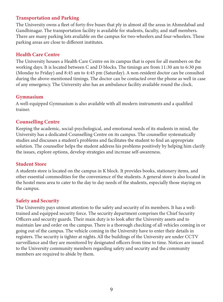## Transportation and Parking

The University owns a fleet of forty-five buses that ply in almost all the areas in Ahmedabad and Gandhinagar. The transportation facility is available for students, faculty, and staff members. There are many parking lots available on the campus for two-wheelers and four-wheelers. These parking areas are close to different institutes.

## Health Care Centre

The University houses a Health Care Centre on its campus that is open for all members on the working days. It is located between C and D blocks. The timings are from 11:30 am to 6:30 pm (Monday to Friday) and 8:45 am to 4:45 pm (Saturday). A non-resident doctor can be consulted during the above-mentioned timings. The doctor can be contacted over the phone as well in case of any emergency. The University also has an ambulance facility available round the clock.

## Gymnasium

A well-equipped Gymnasium is also available with all modern instruments and a qualified trainer.

## Counselling Centre

Keeping the academic, social-psychological, and emotional needs of its students in mind, the University has a dedicated Counselling Centre on its campus. The counsellor systematically studies and discusses a student's problems and facilitates the student to find an appropriate solution. The counsellor helps the student address his problems positively by helping him clarify the issues, explore options, develop strategies and increase self-awareness.

## Student Store

A students store is located on the campus in K block. It provides books, stationery items, and other essential commodities for the convenience of the students. A general store is also located in the hostel mess area to cater to the day to day needs of the students, especially those staying on the campus.

## Safety and Security

The University pays utmost attention to the safety and security of its members. It has a welltrained and equipped security force. The security department comprises the Chief Security Officers and security guards. Their main duty is to look after the University assets and to maintain law and order on the campus. There is a thorough checking of all vehicles coming in or going out of the campus. The vehicle coming in the University have to enter their details in registers. The security is tighter at nights. All the buildings of the University are under CCTV surveillance and they are monitored by designated officers from time to time. Notices are issued to the University community members regarding safety and security and the community members are required to abide by them.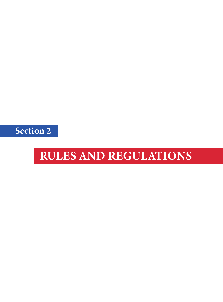Section 2

## RULES AND REGULATIONS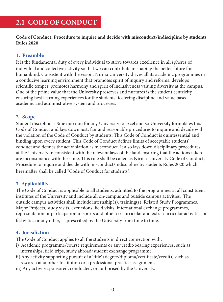## 2.1 CODE OF CONDUCT

Code of Conduct, Procedure to inquire and decide with misconduct/indiscipline by students Rules 2020

## 1. Preamble

It is the fundamental duty of every individual to strive towards excellence in all spheres of individual and collective activity so that we can contribute in shaping the better future for humankind. Consistent with the vision, Nirma University drives all its academic programmes in a conducive learning environment that promotes spirit of inquiry and reforms; develops scientific temper, promotes harmony and spirit of inclusiveness valuing diversity at the campus. One of the prime value that the University preserves and nurtures is the student centricity ensuring best learning experiences for the students, fostering discipline and value based academic and administrative system and processes.

## 2. Scope

Student discipline is Sine quo non for any University to excel and so University formulates this Code of Conduct and lays down just, fair and reasonable procedures to inquire and decide with the violation of the Code of Conduct by students. This Code of Conduct is quintessential and binding upon every student. This Code of Conduct defines limits of acceptable students' conduct and defines the act violation as misconduct. It also lays down disciplinary procedures at the University in consistent with the relevant laws of the land ensuring that the actions taken are inconsonance with the same. This rule shall be called as Nirma University Code of Conduct, Procedure to inquire and decide with misconduct/indiscipline by students Rules 2020 which hereinafter shall be called "Code of Conduct for students".

## 3. Applicability

The Code of Conduct is applicable to all students, admitted to the programmes at all constituent institutes of the University and include all on-campus and outside campus activities. The outside campus activities shall include internship(s), training(s), Related Study Programmes, Major Projects, study visits, excursions, field visits, international exchange programmes, representation or participation in sports and other co-curricular and extra-curricular activities or festivities or any other, as prescribed by the University from time to time.

## 4. Jurisdiction

The Code of Conduct applies to all the students in direct connection with:

- i) Academic programme/course requirements or any credit-bearing experiences, such as internships, field trips, study abroad/student exchange programme.
- ii) Any activity supporting pursuit of a 'title' (degree/diploma/certificate/credit), such as research at another Institution or a professional practice assignment.
- iii) Any activity sponsored, conducted, or authorised by the University.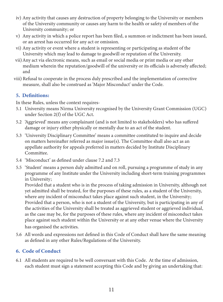- iv) Any activity that causes any destruction of property belonging to the University or members of the University community or causes any harm to the health or safety of members of the University community; or
- v) Any activity in which a police report has been filed, a summon or indictment has been issued, or an arrest has occurred for any act or omission.
- vi) Any activity or event where a student is representing or participating as student of the University which may lead to damage to goodwill or reputation of the University.
- vii) Any act via electronic means, such as email or social media or print media or any other medium wherein the reputation/goodwill of the university or its officials is adversely affected; and
- viii) Refusal to cooperate in the process duly prescribed and the implementation of corrective measure, shall also be construed as 'Major Misconduct' under the Code.

## 5. Definitions:

In these Rules, unless the context requires-

- University means Nirma University recognised by the University Grant Commission (UGC) 5.1 under Section 2(f) of the UGC Act.
- 5.2 'Aggrieved' means any complainant (and is not limited to stakeholders) who has suffered damage or injury either physically or mentally due to an act of the student.
- 5.3 'University Disciplinary Committee' means a committee constituted to inquire and decide on matters hereinafter referred as major issue(s). The Committee shall also act as an appellate authority for appeals preferred in matters decided by Institute Disciplinary Committee.
- 5.4 'Misconduct' as defined under clause 7.2 and 7.3
- 5.5 'Student' means a person duly admitted and on roll, pursuing a programme of study in any programme of any Institute under the University including short-term training programmes in University;

Provided that a student who is in the process of taking admission in University, although not yet admitted shall be treated, for the purposes of these rules, as a student of the University, where any incident of misconduct takes place against such student, in the University; Provided that a person, who is not a student of the University, but is participating in any of the activities of the University shall be treated as aggrieved student or aggrieved individual, as the case may be, for the purposes of these rules, where any incident of misconduct takes place against such student within the University or at any other venue where the University has organised the activities.

5.6 All words and expressions not defined in this Code of Conduct shall have the same meaning as defined in any other Rules/Regulations of the University.

## 6. Code of Conduct

6.1 All students are required to be well conversant with this Code. At the time of admission, each student must sign a statement accepting this Code and by giving an undertaking that: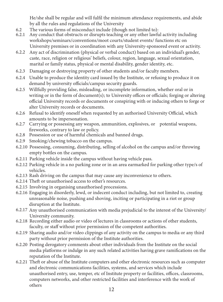He/she shall be regular and will fulfil the minimum attendance requirements, and abide by all the rules and regulations of the University

- 6.2 The various forms of misconduct include (though not limited to):
- 6.2.1 Any conduct that obstructs or disrupts teaching or any other lawful activity including workshops/seminars/conventions/moot courts/student events/ functions etc on University premises or in coordination with any University-sponsored event or activity.
- 6.2.2 Any act of discrimination (physical or verbal conduct) based on an individual's gender, caste, race, religion or religious' beliefs, colour, region, language, sexual orientation, marital or family status, physical or mental disability, gender identity, etc.
- 6.2.3 Damaging or destroying property of other students and/or faculty members.
- 6.2.4 Unable to produce the identity card issued by the Institute, or refusing to produce it on demand by university officials/campus security guards.
- 6.2.5 Willfully providing false, misleading, or incomplete information, whether oral or in writing or in the form of document(s); to University offices or officials; forging or altering official University records or documents or conspiring with or inducing others to forge or alter University records or documents.
- 6.2.6 Refusal to identify oneself when requested by an authorised University Official, which amounts to be impersonation.
- 6.2.7 Carrying or possessing any weapon, ammunition, explosives, or potential weapons, fireworks, contrary to law or policy.
- 6.2.8 Possession or use of harmful chemicals and banned drugs.
- 6.2.9 Smoking/chewing tobacco on the campus.
- 6.2.10 Possessing, consuming, distributing, selling of alcohol on the campus and/or throwing empty bottles on the campus.
- 6.2.11 Parking vehicle inside the campus without having vehicle pass.
- 6.2.12 Parking vehicle in a no parking zone or in an area earmarked for parking other type/s of vehicles.
- 6.2.13 Rash driving on the campus that may cause any inconvenience to others.
- 6.2.14 Theft or unauthorised access to other's resources.
- 6.2.15 Involving in organising unauthorised processions.
- 6.2.16 Engaging in disorderly, lewd, or indecent conduct including, but not limited to, creating unreasonable noise, pushing and shoving, inciting or participating in a riot or group disruption at the Institute.
- 6.2.17 Any unauthorised communication with media prejudicial to the interest of the University/ University community.
- 6.2.18 Recording either audio or video of lectures in classrooms or actions of other students, faculty, or staff without prior permission of the competent authorities.
- 6.2.19 Sharing audio and/or video clippings of any activity on the campus to media or any third party without prior permission of the Institute authorities.
- 6.2.20 Posting derogatory comments about other individuals from the Institute on the social media platforms or indulge in any such related activities having grave ramifications on the reputation of the Institute.
- 6.2.21 Theft or abuse of the Institute computers and other electronic resources such as computer and electronic communications facilities, systems, and services which include unauthorised entry, use, temper, etc of Institute property or facilities, offices, classrooms, computers networks, and other restricted facilities and interference with the work of others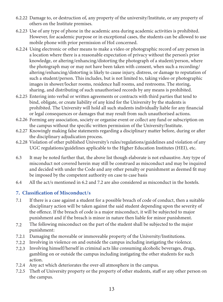- 6.2.22 Damage to, or destruction of, any property of the university/Institute, or any property of others on the Institute premises.
- 6.2.23 Use of any type of phone in the academic area during academic activities is prohibited. However, for academic purpose or in exceptional cases, the students can be allowed to use mobile phone with prior permission of HoI concerned.
- 6.2.24 Using electronic or other means to make a video or photographic record of any person in a location where there is a reasonable expectation of privacy without the person's prior knowledge, or altering/enhancing/distorting the photograph of a student/person, where the photograph may or may not have been taken with consent, when such a recording/ altering/enhancing/distorting is likely to cause injury, distress, or damage to reputation of such a student/person. This includes, but is not limited to, taking video or photographic images in shower/locker rooms, residence hall rooms, and restrooms. The storing, sharing, and distributing of such unauthorised records by any means is prohibited.
- 6.2.25 Entering into verbal or written agreements or contracts with third parties that tend to bind, obligate, or create liability of any kind for the University by the students is prohibited. The University will hold all such students individually liable for any financial or legal consequences or damages that may result from such unauthorised actions.
- 6.2.26 Forming any association, society or organise event or collect any fund or subscription on the campus without the specific written permission of the University/Institute.
- 6.2.27 Knowingly making false statements regarding a disciplinary matter before, during or after the disciplinary adjudication process.
- 6.2.28 Violation of other published University's rules/regulations/guidelines and violation of any UGC regulations/guidelines applicable to the Higher Education Institutes (HEI), etc.
- 6.3 It may be noted further that, the above list though elaborate is not exhaustive. Any type of misconduct not covered herein may still be construed as misconduct and may be inquired and decided with under the Code and any other penalty or punishment as deemed fit may be imposed by the competent authority on case to case basis
- 6.4 All the act/s mentioned in 6.2 and 7.2 are also considered as misconduct in the hostels.

## 7. Classification of Misconduct/s

- 7.1 If there is a case against a student for a possible breach of code of conduct, then a suitable disciplinary action will be taken against the said student depending upon the severity of the offence. If the breach of code is a major misconduct, it will be subjected to major punishment and if the breach is minor in nature then liable for minor punishment.
- 7.2 The following misconduct on the part of the student shall be subjected to the major punishment:
- 7.2.1 Damaging the moveable or immoveable property of the University/Institutions.
- 7.2.2 Involving in violence on and outside the campus including instigating the violence.
- 7.2.3 Involving himself/herself in criminal acts like consuming alcoholic beverages, drugs, gambling on or outside the campus including instigating the other students for such action.
- 7.2.4 Any act which deteriorates the over-all atmosphere in the campus.
- 7.2.5 Theft of University property or the property of other students, staff or any other person on the campus.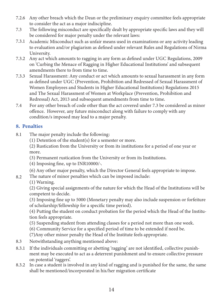- 7.2.6 Any other breach which the Dean or the preliminary enquiry committee feels appropriate to consider the act as a major indiscipline.
- 7.3 The following misconduct are specifically dealt by appropriate specific laws and they will be considered for major penalty under the relevant laws:
- 7.3.1 Academic Misconduct such as unfair means used in examinations or any activity leading to evaluation and/or plagiarism as defined under relevant Rules and Regulations of Nirma University.
- 7.3.2 Any act which amounts to ragging in any form as defined under UGC Regulations, 2009 on 'Curbing the Menace of Ragging in Higher Educational Institutions' and subsequent amendments there to from time to time.
- 7.3.3 Sexual Harassment: Any conduct or act which amounts to sexual harassment in any form as defined under UGC (Prevention, Prohibition and Redressed of Sexual Harassment of Women Employees and Students in Higher Educational Institutions) Regulations 2015 and The Sexual Harassment of Women at Workplace (Prevention, Prohibition and Redressal) Act, 2013 and subsequent amendments from time to time.
- 7.4 For any other breach of code other than the act covered under 7.3 be considered as minor offence. However, any future misconduct along with failure to comply with any condition/s imposed may lead to a major penalty.

## 8. Penalties

- 8.1 The major penalty include the following:
	- (1) Detention of the student(s) for a semester or more.
	- (2) Rustication from the University or from its institutions for a period of one year or more.
	- (3) Permanent rustication from the University or from its Institutions.
	- (4) Imposing fine, up to INR10000/-.
	- (6) Any other major penalty, which the Director General feels appropriate to impose.
- 8.2 The nature of minor penalties which can be imposed include:
	- (1) Warning.

(2) Giving special assignments of the nature for which the Head of the Institutions will be competent to decide.

(3) Imposing fine up to 5000 (Monetary penalty may also include suspension or forfeiture of scholarship/fellowship for a specific time period).

(4) Putting the student on conduct probation for the period which the Head of the Institution feels appropriate.

- (5) Suspending student from attending classes for a period not more than one week.
- (6) Community Service for a specified period of time to be extended if need be.
- (7)Any other minor penalty the Head of the Institute feels appropriate.
- 8.3 Notwithstanding anything mentioned above:
- 8.3.1 If the individuals committing or abetting 'ragging' are not identified, collective punishment may be executed to act as a deterrent punishment and to ensure collective pressure on potential 'raggers'.
- 8.3.2 In case a student is involved in any kind of ragging and is punished for the same, the same shall be mentioned/incorporated in his/her migration certificate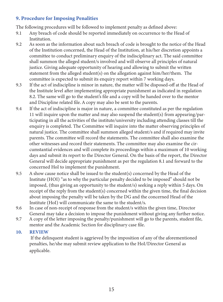## 9. Procedure for Imposing Penalities

The following procedures will be followed to implement penalty as defined above:

- Any breach of code should be reported immediately on occurrence to the Head of Institution. 9.1
- 9.2 As soon as the information about such breach of code is brought to the notice of the Head of the Institution concerned, the Head of the Institution, at his/her discretion appoints a committee to conduct preliminary enquiry of the indisciplinary act. The said committee shall summon the alleged student/s involved and will observe all principles of natural justice. Giving adequate opportunity of hearing and allowing to submit the written statement from the alleged student(s) on the allegation against him/her/them. The committee is expected to submit its enquiry report within 7 working days.
- 9.3 If the act of indiscipline is minor in nature, the matter will be disposed-off at the Head of the Institute level after implementing appropriate punishment as indicated in regulation 8.2. The same will go to the student's file and a copy will be handed over to the mentor and Discipline related file. A copy may also be sent to the parents.
- 9.4 If the act of indiscipline is major in nature, a committee constituted as per the regulation 11 will inquire upon the matter and may also suspend the student(s) from appearing/participating in all the activities of the institute/university including attending classes till the enquiry is completed. The Committee will inquire into the matter observing principles of natural justice. The committee shall summon alleged student/s and if required may invite parents. The committee will record the statements. The committee shall also examine the other witnesses and record their statements. The committee may also examine the circumstantial evidences and will complete its proceedings within a maximum of 10 working days and submit its report to the Director General. On the basis of the report, the Director General will decide appropriate punishment as per the regulation 8.1 and forward to the concerned HoI to implement the punishment.
- 9.5 A show cause notice shall be issued to the student(s) concerned by the Head of the Institute (HOI) "as to why the particular penalty decided to be imposed" should not be imposed, (thus giving an opportunity to the student/s) seeking a reply within 5 days. On receipt of the reply from the student(s) concerned within the given time, the final decision about imposing the penalty will be taken by the DG and the concerned Head of the Institute (HoI) will communicate the same to the student/s.
- 9.6 In case of non-receipt of response from the student/s within the given time, Director General may take a decision to impose the punishment without giving any further notice.
- 9.7 A copy of the letter imposing the penalty/punishment will go to the parents, student file, mentor and the Academic Section for disciplinary case file.

#### 10. **REVIEW**

 If the delinquent student is aggrieved by the imposition of any of the aforementioned penalties, he/she may submit review application to the HoI/Director General as applicable.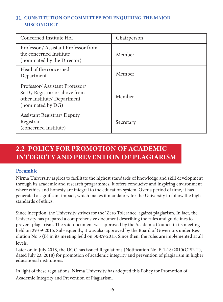## 11. CONSTITUTION OF COMMITTEE FOR ENQUIRING THE MAJOR MISCONDUCT

| Concerned Institute HoI                                                                                             | Chairperson |
|---------------------------------------------------------------------------------------------------------------------|-------------|
| Professor / Assistant Professor from<br>the concerned Institute<br>(nominated by the Director)                      | Member      |
| Head of the concerned<br>Department                                                                                 | Member      |
| Professor/Assistant Professor/<br>Sr Dy Registrar or above from<br>other Institute/ Department<br>(nominated by DG) | Member      |
| <b>Assistant Registrar/ Deputy</b><br>Registrar<br>(concerned Institute)                                            | Secretary   |

## 2.2 POLICY FOR PROMOTION OF ACADEMIC INTEGRITY AND PREVENTION OF PLAGIARISM

## Preamble

Nirma University aspires to facilitate the highest standards of knowledge and skill development through its academic and research programmes. It offers conducive and inspiring environment where ethics and honesty are integral to the education system. Over a period of time, it has generated a significant impact, which makes it mandatory for the University to follow the high standards of ethics.

Since inception, the University strives for the 'Zero Tolerance' against plagiarism. In fact, the University has prepared a comprehensive document describing the rules and guidelines to prevent plagiarism. The said document was approved by the Academic Council in its meeting held on 29-09-2015. Subsequently, it was also approved by the Board of Governors under Resolution No 5 (B) in its meeting held on 30-09-2015. Since then, the rules are implemented at all levels.

Later on in July 2018, the UGC has issued Regulations (Notification No. F. 1-18/2010(CPP-II), dated July 23, 2018) for promotion of academic integrity and prevention of plagiarism in higher educational institutions.

In light of these regulations, Nirma University has adopted this Policy for Promotion of Academic Integrity and Prevention of Plagiarism.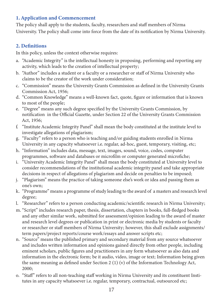## 1. Application and Commencement

The policy shall apply to the students, faculty, researchers and staff members of Nirma University. The policy shall come into force from the date of its notification by Nirma University.

## 2. Definitions

In this policy, unless the context otherwise requires:

- a. "Academic Integrity" is the intellectual honesty in proposing, performing and reporting any activity, which leads to the creation of intellectual property;
- b. "Author" includes a student or a faculty or a researcher or staff of Nirma University who claims to be the creator of the work under consideration;
- c. "Commission" means the University Grants Commission as defined in the University Grants Commission Act, 1956;
- d. "Common Knowledge" means a well-known fact, quote, figure or information that is known to most of the people;
- e. "Degree" means any such degree specified by the University Grants Commission, by notification in the Official Gazette, under Section 22 of the University Grants Commission Act, 1956;
- f. "Institute Academic Integrity Panel" shall mean the body constituted at the institute level to investigate allegations of plagiarism;
- g. "Faculty" refers to a person who is teaching and/or guiding students enrolled in Nirma University in any capacity whatsoever i.e. regular, ad-hoc, guest, temporary, visiting, etc;
- h. "Information" includes data, message, text, images, sound, voice, codes, computer programmes, software and databases or microfilm or computer generated microfiche;
- i. "University Academic Integrity Panel" shall mean the body constituted at University level to consider recommendations of the institutional academic integrity panel and take appropriate decisions in respect of allegations of plagiarism and decide on penalties to be imposed;
- j. "Plagiarism" means the practice of taking someone else's work or idea and passing them as one's own;
- k. "Programme" means a programme of study leading to the award of a masters and research level degree;
- l. "Researcher" refers to a person conducting academic/scientific research in Nirma University;
- m. "Script" includes research paper, thesis, dissertation, chapters in books, full-fledged books and any other similar work, submitted for assessment/opinion leading to the award of master and research level degrees or publication in print or electronic media by students or faculty or researcher or staff members of Nirma University; however, this shall exclude assignments/ term papers/project reports/course work/essays and answer scripts etc;
- n. "Source" means the published primary and secondary material from any source whatsoever and includes written information and opinions gained directly from other people, including eminent scholars, public figures and practitioners in any form whatsoever as also data and information in the electronic form; be it audio, video, image or text; Information being given the same meaning as defined under Section 2 (1) (v) of the Information Technology Act, 2000;
- o. "Staff" refers to all non-teaching staff working in Nirma University and its constituent Institutes in any capacity whatsoever i.e. regular, temporary, contractual, outsourced etc;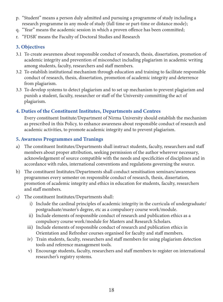- "Student" means a person duly admitted and pursuing a programme of study including a p. research programme in any mode of study (full time or part-time or distance mode);
- q. "Year" means the academic session in which a proven offence has been committed;
- r. "FDSR' means the Faculty of Doctoral Studies and Research

## 3. Objectives

- 3.1 To create awareness about responsible conduct of research, thesis, dissertation, promotion of academic integrity and prevention of misconduct including plagiarism in academic writing among students, faculty, researchers and staff members.
- 3.2 To establish institutional mechanism through education and training to facilitate responsible conduct of research, thesis, dissertation, promotion of academic integrity and deterrence from plagiarism.
- 3.3 To develop systems to detect plagiarism and to set up mechanism to prevent plagiarism and punish a student, faculty, researcher or staff of the University committing the act of plagiarism.

## 4. Duties of the Constituent Institutes, Departments and Centres

Every constituent Institute/Department of Nirma University should establish the mechanism as prescribed in this Policy, to enhance awareness about responsible conduct of research and academic activities, to promote academic integrity and to prevent plagiarism.

## 5. Awarness Programmes and Tranings

- a) The constituent Institutes/Departments shall instruct students, faculty, researchers and staff members about proper attribution, seeking permission of the author wherever necessary, acknowledgement of source compatible with the needs and specificities of disciplines and in accordance with rules, international conventions and regulations governing the source.
- b) The constituent Institutes/Departments shall conduct sensitisation seminars/awareness programmes every semester on responsible conduct of research, thesis, dissertation, promotion of academic integrity and ethics in education for students, faculty, researchers and staff members.
- c) The constituent Institutes/Departments shall:
	- i) Include the cardinal principles of academic integrity in the curricula of undergraduate/ postgraduate/master's degree, etc as a compulsory course work/module.
	- ii) Include elements of responsible conduct of research and publication ethics as a compulsory course work/module for Masters and Research Scholars.
	- iii) Include elements of responsible conduct of research and publication ethics in Orientation and Refresher courses organised for faculty and staff members.
	- iv) Train students, faculty, researchers and staff members for using plagiarism detection tools and reference management tools.
	- v) Encourage students, faculty, researchers and staff members to register on international researcher's registry systems.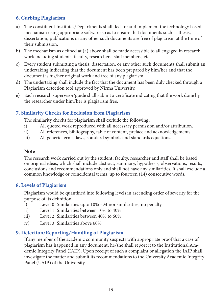## 6. Curbing Plagiarism

- a) The constituent Institutes/Departments shall declare and implement the technology based mechanism using appropriate software so as to ensure that documents such as thesis, dissertation, publications or any other such documents are free of plagiarism at the time of their submission.
- b) The mechanism as defined at (a) above shall be made accessible to all engaged in research work including students, faculty, researchers, staff members, etc.
- c) Every student submitting a thesis, dissertation, or any other such documents shall submit an undertaking indicating that the document has been prepared by him/her and that the document is his/her original work and free of any plagiarism.
- d) The undertaking shall include the fact that the document has been duly checked through a Plagiarism detection tool approved by Nirma University.
- e) Each research supervisor/guide shall submit a certificate indicating that the work done by the researcher under him/her is plagiarism free.

## 7. Similarity Checks for Exclusion from Plagiarism

The similarity checks for plagiarism shall exclude the following:

- i) All quoted work reproduced with all necessary permission and/or attribution.
- ii) All references, bibliography, table of content, preface and acknowledgements.
- iii) All generic terms, laws, standard symbols and standards equations.

#### Note

The research work carried out by the student, faculty, researcher and staff shall be based on original ideas, which shall include abstract, summary, hypothesis, observations, results, conclusions and recommendations only and shall not have any similarities. It shall exclude a common knowledge or coincidental terms, up to fourteen (14) consecutive words.

## 8. Levels of Plagiarism

Plagiarism would be quantified into following levels in ascending order of severity for the purpose of its definition:

- i) Level 0: Similarities upto 10% Minor similarities, no penalty
- ii) Level 1: Similarities between 10% to 40%
- iii) Level 2: Similarities between 40% to 60%
- iv) Level 3: Similarities above 60%

## 9. Detection/Reporting/Handling of Plagiarism

If any member of the academic community suspects with appropriate proof that a case of plagiarism has happened in any document, he/she shall report it to the Institutional Academic Integrity Panel (IAIP). Upon receipt of such a complaint or allegation the IAIP shall investigate the matter and submit its recommendations to the University Academic Integrity Panel (UAIP) of the University.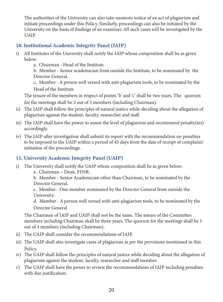The authorities of the University can also take suomotu notice of an act of plagiarism and initiate proceedings under this Policy. Similarly, proceedings can also be initiated by the University on the basis of findings of an examiner. All such cases will be investigated by the UAIP.

## 10. Institutional Academic Integrity Panel (IAIP)

- i) All Institutes of the University shall notify the IAIP whose composition shall be as given below:
	- a. Chairman Head of the Institute.

b. Member - Senior academician from outside the Institute, to be nominated by the Director General.

c. Member - A person well versed with anti-plagiarism tools, to be nominated by the Head of the Institute

The tenure of the members in respect of points 'b' and 'c' shall be two years. The quorum for the meetings shall be 2 out of 3 members (including Chairman).

- ii) The IAIP shall follow the principles of natural justice while deciding about the allegation of plagiarism against the student, faculty, researcher and staff.
- iii) The IAIP shall have the power to assess the level of plagiarism and recommend penalty(ies) accordingly.
- iv) The IAIP after investigation shall submit its report with the recommendation on penalties to be imposed to the UAIP within a period of 45 days from the date of receipt of complaint/ initiation of the proceedings.

## 11. University Academic Integrity Panel (UAIP)

- i) The University shall notify the UAIP whose composition shall be as given below:
	- a. Chairman Dean, FDSR.

b. Member - Senior Academician other than Chairman, to be nominated by the Director General.

c. Member - One member nominated by the Director General from outside the University.

d. Member - A person well versed with anti-plagiarism tools, to be nominated by the Director General

The Chairman of IAIP and UAIP shall not be the same. The tenure of the Committee members including Chairman shall be three years. The quorum for the meetings shall be 3 out of 4 members (including Chairman).

- ii) The UAIP shall consider the recommendations of IAIP.
- iii) The UAIP shall also investigate cases of plagiarism as per the provisions mentioned in this Policy.
- iv) The UAIP shall follow the principles of natural justice while deciding about the allegation of plagiarism against the student, faculty, researcher and staff member.
- v) The UAIP shall have the power to review the recommendations of IAIP including penalties with due justification.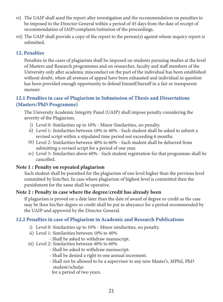- vi) The UAIP shall send the report after investigation and the recommendation on penalties to be imposed to the Director General within a period of 45 days from the date of receipt of recommendation of IAIP/complaint/initiation of the proceedings.
- vii) The UAIP shall provide a copy of the report to the person(s) against whom inquiry report is submitted.

## 12. Penalties

Penalties in the cases of plagiarism shall be imposed on students pursuing studies at the level of Masters and Research programmes and on researcher, faculty and staff members of the University only after academic misconduct on the part of the individual has been established without doubt, when all avenues of appeal have been exhausted and individual in question has been provided enough opportunity to defend himself/herself in a fair or transparent manner.

## 12.1 Penalties in case of Plagiarism in Submission of Thesis and Dissertations (Masters/PhD Programme)

The University Academic Integrity Panel (UAIP) shall impose penalty considering the severity of the Plagiarism.

- i) Level 0: Similarities up to 10% Minor Similarities, no penalty.
- ii) Level 1: Similarities between 10% to 40% Such student shall be asked to submit a revised script within a stipulated time period not exceeding 6 months.
- iii) Level 2: Similarities between 40% to 60% Such student shall be debarred from submitting a revised script for a period of one year.
- iv) Level 3: Similarities above 60% Such student registration for that programme shall be cancelled.

## Note 1 : Penalty on repeated plagiarism

Such student shall be punished for the plagiarism of one level higher than the previous level committed by him/her. In case where plagiarism of highest level is committed then the punishment for the same shall be operative.

## Note 2 : Penalty in case where the degree/credit has already been

If plagiarism is proved on a date later than the date of award of degree or credit as the case may be then his/her degree or credit shall be put in abeyance for a period recommended by the UAIP and approved by the Director General.

## 12.2 Penalties in case of Plagiarism in Academic and Research Publications

- i) Level 0: Similarities up to 10% Minor similarities, no penalty.
- ii) Level 1: Similarities between 10% to 40%
	- Shall be asked to withdraw manuscript.
- iii) Level 2: Similarities between 40% to 60%
	- Shall be asked to withdraw manuscript.
	- Shall be denied a right to one annual increment.
	- Shall not be allowed to be a supervisor to any new Master's, MPhil, PhD student/scholar
	- for a period of two years.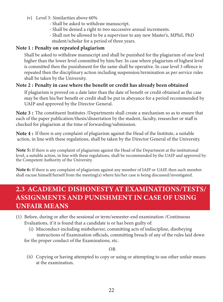- iv) Level 3: Similarities above 60%
	- Shall be asked to withdraw manuscript.
	- Shall be denied a right to two successive annual increments.
	- Shall not be allowed to be a supervisor to any new Master's, MPhil, PhD student/scholar for a period of three years.

## Note 1 : Penalty on repeated plagiarism

Shall be asked to withdraw manuscript and shall be punished for the plagiarism of one level higher than the lower level committed by him/her. In case where plagiarism of highest level is committed then the punishment for the same shall be operative. In case level 3 offence is repeated then the disciplinary action including suspension/termination as per service rules shall be taken by the University.

## Note 2 : Penalty in case where the benefit or credit has already been obtained

If plagiarism is proved on a date later than the date of benefit or credit obtained as the case may be then his/her benefit or credit shall be put in abeyance for a period recommended by UAIP and approved by the Director General.

Note 3 : The constituent Institutes /Departments shall create a mechanism so as to ensure that each of the paper publication/thesis/dissertation by the student, faculty, researcher or staff is checked for plagiarism at the time of forwarding/submission.

Note 4 : If there is any complaint of plagiarism against the Head of the Institute, a suitable action, in line with these regulations, shall be taken by the Director General of the University.

Note 5: If there is any complaint of plagiarism against the Head of the Department at the institutional level, a suitable action, in line with these regulations, shall be recommended by the UAIP and approved by the Competent Authority of the University.

Note 6: If there is any complaint of plagiarism against any member of IAIP or UAIP, then such member shall excuse himself/herself from the meeting(s) where his/her case is being discussed/investigated.

## 2.3 ACADEMIC DISHONESTY AT EXAMINATIONS/TESTS/ ASSIGNMENTS AND PUNISHMENT IN CASE OF USING UNFAIR MEANS

- (1) Before, during or after the sessional or term/semester-end examination /Continuous Evaluations, if it is found that a candidate is or has been guilty of:
	- (i) Misconduct-including misbehavior, committing acts of indiscipline, disobeying instructions of Examination officials, committing breach of any of the rules laid down for the proper conduct of the Examinations, etc.

#### OR

(ii) Copying or having attempted to copy or using or attempting to use other unfair means at the examination.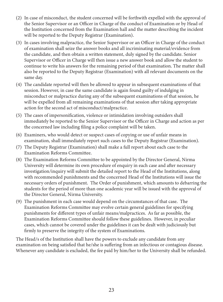- (2) In case of misconduct, the student concerned will be forthwith expelled with the approval of the Senior Supervisor or an Officer in Charge of the conduct of Examination or by Head of the Institution concerned from the Examination hall and the matter describing the incident will be reported to the Deputy Registrar (Examination).
- (3) In cases involving malpractice, the Senior Supervisor or an Officer in Charge of the conduct of examination shall seize the answer books and all incriminating material/evidence from the candidate, and then obtain a written statement, duly signed by the candidate. Senior Supervisor or Officer in Charge will then issue a new answer book and allow the student to continue to write his answers for the remaining period of that examination. The matter shall also be reported to the Deputy Registrar (Examination) with all relevant documents on the same day.
- (4) The candidate reported will then be allowed to appear in subsequent examinations of that session. However, in case the same candidate is again found guilty of indulging in misconduct or malpractice during any of the subsequent examinations of that session, he will be expelled from all remaining examinations of that session after taking appropriate action for the second act of misconduct/malpractice.
- (5) The cases of impersonification, violence or intimidation involving outsiders shall immediately be reported to the Senior Supervisor or the Officer in Charge and action as per the concerned law including filing a police complaint will be taken.
- (6) Examiners, who would detect or suspect cases of copying or use of unfair means in examination, shall immediately report such cases to the Deputy Registrar (Examination).
- (7) The Deputy Registrar (Examination) shall make a full report about each case to the Examination Reforms Committee.
- (8) The Examination Reforms Committee to be appointed by the Director General, Nirma University will determine its own procedure of enquiry in each case and after necessary investigation/inquiry will submit the detailed report to the Head of the Institutions, along with recommended punishments and the concerned Head of the Institutions will issue the necessary orders of punishment. The Order of punishment, which amounts to debarring the students for the period of more than one academic year will be issued with the approval of the Director General, Nirma University.
- (9) The punishment in each case would depend on the circumstances of that case. The Examination Reforms Committee may evolve certain general guidelines for specifying punishments for different types of unfair means/malpractices. As far as possible, the Examination Reforms Committee should follow these guidelines. However, in peculiar cases, which cannot be covered under the guidelines it can be dealt with judiciously but firmly to preserve the integrity of the system of Examinations.

The Head/s of the Institution shall have the powers to exclude any candidate from any examination on being satisfied that he/she is suffering from an infectious or contagious disease. Whenever any candidate is excluded, the fee paid by him/her to the University shall be refunded.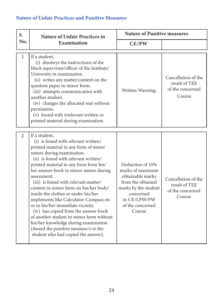## Nature of Unfair Practices and Punitive Measures

| S<br>No.       | <b>Nature of Unfair Practices in</b><br><b>Examination</b>                                                                                                                                                                                                                                                                                                                                                                                                                                                                                                                                                                                                                                | <b>Nature of Punitive measures</b>                                                                                                                               |                                                                    |
|----------------|-------------------------------------------------------------------------------------------------------------------------------------------------------------------------------------------------------------------------------------------------------------------------------------------------------------------------------------------------------------------------------------------------------------------------------------------------------------------------------------------------------------------------------------------------------------------------------------------------------------------------------------------------------------------------------------------|------------------------------------------------------------------------------------------------------------------------------------------------------------------|--------------------------------------------------------------------|
|                |                                                                                                                                                                                                                                                                                                                                                                                                                                                                                                                                                                                                                                                                                           | CE/PW                                                                                                                                                            |                                                                    |
| $\mathbf{1}$   | If a student,<br>(i) disobeys the instructions of the<br>block supervisor/officer of the Institute/<br>University in examination.<br>(ii) writes any matter/content on the<br>question paper in minor form.<br>(iii) attempts communication with<br>another student.<br>(iv) changes the allocated seat without<br>permission.<br>(v) found with irrelevant written or<br>printed material during examination.                                                                                                                                                                                                                                                                            | Written Warning;                                                                                                                                                 | Cancellation of the<br>result of TEE<br>of the concerned<br>Course |
| $\overline{2}$ | If a student,<br>(i) is found with relevant written/<br>printed material in any form of minor<br>nature during examination.<br>(ii) is found with relevant written/<br>printed material in any form from his/<br>her answer-book in minor nature during<br>assessment.<br>(iii) is found with relevant matter/<br>content in minor form on his/her body/<br>inside the clothes or under his/her<br>implements like Calculator-Compass etc<br>or in his/her immediate vicinity.<br>(iv) has copied from the answer-book<br>of another student in minor form without<br>his/her knowledge during examination<br>(Award the punitive measure/s to the<br>student who had copied the answer). | Deduction of 10%<br>marks of maximum<br>obtainable marks<br>from the obtained<br>marks by the student<br>concerned<br>in CE/LPW/PW<br>of the concerned<br>Course | Cancellation of the<br>result of TEE<br>of the concerned<br>Course |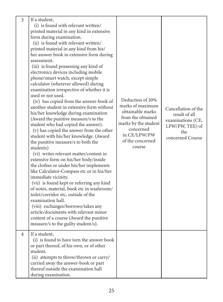| $\overline{3}$ | If a student,<br>(i) is found with relevant written/<br>printed material in any kind in extensive<br>form during examination.<br>(ii) is found with relevant written/<br>printed material in any kind from his/<br>her answer book in extensive form during<br>assessment.<br>(iii) is found possessing any kind of<br>electronics devices including mobile<br>phone/smart watch, except simple<br>calculator (wherever allowed) during<br>examination irrespective of whether it is<br>used or not used.<br>(iv) has copied from the answer-book of<br>another student in extensive form without<br>his/her knowledge during examination<br>(Award the punitive measure/s to the<br>student who had copied the answer).<br>(v) has copied the answer from the other<br>student with his/her knowledge. (Award<br>the punitive measure/s to both the<br>students)<br>(vi) writes relevant matter/content in<br>extensive form on his/her body/inside<br>the clothes or under his/her implements | Deduction of 20%<br>marks of maximum<br>obtainable marks<br>from the obtained<br>marks by the student<br>concerned<br>in CE/LPW/PW<br>of the concerned<br>course | Cancellation of the<br>result of all<br>examinations (CE,<br>LPW/PW, TEE) of<br>the<br>concerned Course |
|----------------|-------------------------------------------------------------------------------------------------------------------------------------------------------------------------------------------------------------------------------------------------------------------------------------------------------------------------------------------------------------------------------------------------------------------------------------------------------------------------------------------------------------------------------------------------------------------------------------------------------------------------------------------------------------------------------------------------------------------------------------------------------------------------------------------------------------------------------------------------------------------------------------------------------------------------------------------------------------------------------------------------|------------------------------------------------------------------------------------------------------------------------------------------------------------------|---------------------------------------------------------------------------------------------------------|
|                | like Calculator-Compass etc or in his/her<br>immediate vicinity.<br>(vii) is found kept or referring any kind<br>of notes, material, book etc in washroom/<br>toilet/corridor etc, outside of the<br>examination hall.<br>(viii) exchanges/borrows/takes any<br>article/documents with relevant minor<br>content of a course (Award the punitive<br>measure/s to the guilty student/s).                                                                                                                                                                                                                                                                                                                                                                                                                                                                                                                                                                                                         |                                                                                                                                                                  |                                                                                                         |
| $\overline{4}$ | If a student,<br>(i) is found to have torn the answer book<br>or part thereof, of his own, or of other<br>student.<br>(ii) attempts to throw/thrown or carry/<br>carried away the answer-book or part<br>thereof outside the examination hall<br>during examination.                                                                                                                                                                                                                                                                                                                                                                                                                                                                                                                                                                                                                                                                                                                            |                                                                                                                                                                  |                                                                                                         |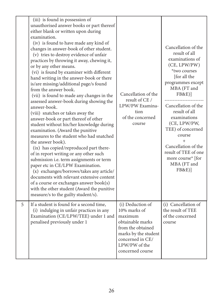|   | (iii) is found in possession of<br>unauthorised answer books or part thereof<br>either blank or written upon during<br>examination.<br>(iv) is found to have made any kind of<br>changes in answer-book of other student.<br>(v) tries to destroy evidence of unfair<br>practices by throwing it away, chewing it,<br>or by any other means.<br>(vi) is found by examiner with different<br>hand writing in the answer-book or there<br>is/are missing/additional page/s found<br>from the answer book.<br>(vii) is found to made any changes in the<br>assessed answer-book during showing the<br>answer-book.<br>(viii) snatches or takes away the<br>answer-book or part thereof of other<br>student without his/her knowledge during<br>examination. (Award the punitive<br>measures to the student who had snatched<br>the answer book).<br>(ix) has copied/reproduced part there-<br>of in report writing or any other such<br>submission i.e. term assignments or term<br>paper etc in CE/LPW Examination.<br>(x) exchanges/borrows/takes any article/<br>documents with relevant extensive content<br>of a course or exchanges answer book(s)<br>with the other student (Award the punitive<br>measure/s to the guilty student/s). | Cancellation of the<br>result of CE /<br>LPW/PW Examina-<br>tion<br>of the concerned<br>course                                                                        | Cancellation of the<br>result of all<br>examinations of<br>(CE, LPW/PW)<br>*two courses<br>[for all the<br>programmes except<br>MBA (FT and<br><b>FB&amp;E)</b> ]<br>Cancellation of the<br>result of all<br>examinations<br>(CE, LPW/PW,<br>TEE) of concerned<br>course<br>$^{+}$<br>Cancellation of the<br>result of TEE of one<br>more course <sup>*</sup> [for<br>MBA (FT and<br>FB&E) |
|---|--------------------------------------------------------------------------------------------------------------------------------------------------------------------------------------------------------------------------------------------------------------------------------------------------------------------------------------------------------------------------------------------------------------------------------------------------------------------------------------------------------------------------------------------------------------------------------------------------------------------------------------------------------------------------------------------------------------------------------------------------------------------------------------------------------------------------------------------------------------------------------------------------------------------------------------------------------------------------------------------------------------------------------------------------------------------------------------------------------------------------------------------------------------------------------------------------------------------------------------------|-----------------------------------------------------------------------------------------------------------------------------------------------------------------------|--------------------------------------------------------------------------------------------------------------------------------------------------------------------------------------------------------------------------------------------------------------------------------------------------------------------------------------------------------------------------------------------|
| 5 | If a student is found for a second time,<br>(i) indulging in unfair practices in any<br>Examination (CE/LPW/TEE) under 1 and<br>penalised previously under 1                                                                                                                                                                                                                                                                                                                                                                                                                                                                                                                                                                                                                                                                                                                                                                                                                                                                                                                                                                                                                                                                               | (i) Deduction of<br>10% marks of<br>maximum<br>obtainable marks<br>from the obtained<br>marks by the student<br>concerned in CE/<br>LPW/PW of the<br>concerned course | (i) Cancellation of<br>the result of TEE<br>of the concerned<br>course                                                                                                                                                                                                                                                                                                                     |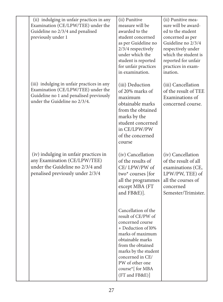| (ii) indulging in unfair practices in any<br>Examination (CE/LPW/TEE) under the<br>Guideline no 2/3/4 and penalised<br>previously under 1                    | (ii) Punitive<br>measure will be<br>awarded to the<br>student concerned<br>as per Guideline no<br>2/3/4 respectively<br>under which the<br>student is reported<br>for unfair practices<br>in examination.                                             | (ii) Punitive mea-<br>sure will be award-<br>ed to the student<br>concerned as per<br>Guideline no 2/3/4<br>respectively under<br>which the student is<br>reported for unfair<br>practices in exam-<br>ination. |
|--------------------------------------------------------------------------------------------------------------------------------------------------------------|-------------------------------------------------------------------------------------------------------------------------------------------------------------------------------------------------------------------------------------------------------|-----------------------------------------------------------------------------------------------------------------------------------------------------------------------------------------------------------------|
| (iii) indulging in unfair practices in any<br>Examination (CE/LPW/TEE) under the<br>Guideline no 1 and penalised previously<br>under the Guideline no 2/3/4. | (iii) Deduction<br>of 20% marks of<br>maximum<br>obtainable marks<br>from the obtained<br>marks by the<br>student concerned<br>in CE/LPW/PW<br>of the concerned<br>course                                                                             | (iii) Cancellation<br>of the result of TEE<br>Examinations of<br>concerned course.                                                                                                                              |
| (iv) indulging in unfair practices in<br>any Examination (CE/LPW/TEE)<br>under the Guideline no 2/3/4 and<br>penalised previously under 2/3/4                | (iv) Cancellation<br>of the results of<br>CE/LPW/PW of<br>two* courses [for<br>all the programmes<br>except MBA (FT<br>and FB&E)].                                                                                                                    | (iv) Cancellation<br>of the result of all<br>examinations (CE,<br>LPW/PW, TEE) of<br>all the courses of<br>concerned<br>Semester/Trimister.                                                                     |
|                                                                                                                                                              | Cancellation of the<br>result of CE/PW of<br>concerned course<br>+ Deduction of l0%<br>marks of maximum<br>obtainable marks<br>from the obtained<br>marks by the student<br>concerned in CE/<br>PW of other one<br>course*[ for MBA<br>(FT and FB&E)] |                                                                                                                                                                                                                 |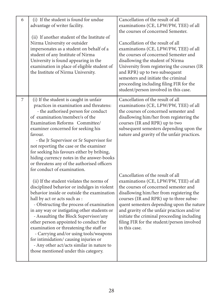| 6 | (i) If the student is found for undue<br>advantage of writer facility.<br>(ii) If another student of the Institute of<br>Nirma University or outsider<br>impersonates as a student on behalf of a<br>student of any Institute of Nirma<br>University is found appearing in the<br>examination in place of eligible student of<br>the Institute of Nirma University.                                                                                                                                                                                                   | Cancellation of the result of all<br>examinations (CE, LPW/PW, TEE) of all<br>the courses of concerned Semester.<br>Cancellation of the result of all<br>examinations (CE, LPW/PW, TEE) of all<br>the courses of concerned Semester and<br>disallowing the student of Nirma<br>University from registering the courses (IR<br>and RPR) up to two subsequent<br>semesters and initiate the criminal<br>proceeding including filing FIR for the<br>student/person involved in this case. |
|---|-----------------------------------------------------------------------------------------------------------------------------------------------------------------------------------------------------------------------------------------------------------------------------------------------------------------------------------------------------------------------------------------------------------------------------------------------------------------------------------------------------------------------------------------------------------------------|----------------------------------------------------------------------------------------------------------------------------------------------------------------------------------------------------------------------------------------------------------------------------------------------------------------------------------------------------------------------------------------------------------------------------------------------------------------------------------------|
| 7 | (i) If the student is caught in unfair<br>practices in examination and threatens:<br>- the authorised person for conduct<br>of examination/member/s of the<br>Examination Reforms Committee/<br>examiner concerned for seeking his<br>favour.<br>- the Jr Supervisor or Sr Supervisor for<br>not reporting the case or the examiner<br>for seeking his favours either by bribing,<br>hiding currency notes in the answer-books<br>or threatens any of the authorised officers<br>for conduct of examination.                                                          | Cancellation of the result of all<br>examinations (CE, LPW/PW, TEE) of all<br>the courses of concerned semester and<br>disallowing him/her from registering the<br>courses (IR and RPR) up to two<br>subsequent semesters depending upon the<br>nature and gravity of the unfair practices.                                                                                                                                                                                            |
|   | (ii) If the student violates the norms of<br>disciplined behavior or indulges in violent<br>behavior inside or outside the examination<br>hall by act or acts such as :<br>- Obstructing the process of examination<br>in any way or instigating other students or<br>- Assaulting the Block Supervisor/any<br>other person appointed to conduct the<br>examination or threatening the staff or<br>- Carrying and/or using tools/weapons<br>for intimidation/causing injuries or<br>- Any other act/acts similar in nature to<br>those mentioned under this category. | Cancellation of the result of all<br>examinations (CE, LPW/PW, TEE) of all<br>the courses of concerned semester and<br>disallowing him/her from registering the<br>courses (IR and RPR) up to three subse-<br>quent semesters depending upon the nature<br>and gravity of the unfair practices and/or<br>initiate the criminal proceeding including<br>filing FIR for the student/person involved<br>in this case.                                                                     |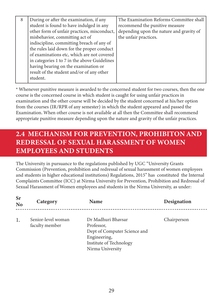| 8 | During or after the examination, if any      | The Examination Reforms Committee shall  |
|---|----------------------------------------------|------------------------------------------|
|   | student is found to have indulged in any     | recommend the punitive measure           |
|   | other form of unfair practices, misconduct,  | depending upon the nature and gravity of |
|   | misbehavior, committing act of               | the unfair practices.                    |
|   | indiscipline, committing breach of any of    |                                          |
|   | the rules laid down for the proper conduct   |                                          |
|   | of examinations etc, which are not covered   |                                          |
|   | in categories 1 to 7 in the above Guidelines |                                          |
|   | having bearing on the examination or         |                                          |
|   | result of the student and/or of any other    |                                          |
|   | student.                                     |                                          |

\* Whenever punitive measure is awarded to the concerned student for two courses, then the one course is the concerned course in which student is caught for using unfair practices in examination and the other course will be decided by the student concerned at his/her option from the courses (IR/RPR of any semester) in which the student appeared and passed the Examination. When other course is not available at all then the Committee shall recommend appropriate punitive measure depending upon the nature and gravity of the unfair practices.

# 2.4 MECHANISM FOR PREVENTION, PROHIBITON AND REDRESSAL OF SEXUAL HARASSMENT OF WOMEN EMPLOYEES AND STUDENTS

The University in pursuance to the regulations published by UGC "University Grants Commission (Prevention, prohibition and redressal of sexual harassment of women employees and students in higher educational institutions) Regulations, 2015" has constituted the Internal Complaints Committee (ICC) at Nirma University for Prevention, Prohibition and Redressal of Sexual Harassment of Women employees and students in the Nirma University, as under:

| <b>Sr</b><br><b>No</b> | Category                             | <b>Name</b>                                                                                                                     | Designation |
|------------------------|--------------------------------------|---------------------------------------------------------------------------------------------------------------------------------|-------------|
| 1.                     | Senior-level woman<br>faculty member | Dr Madhuri Bhaysar<br>Professor,<br>Dept of Computer Science and<br>Engineering,<br>Institute of Technology<br>Nirma University | Chairperson |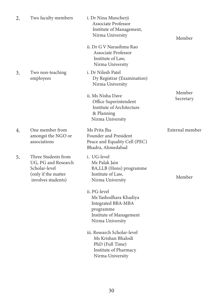| 2. | Two faculty members                                                                                      | i. Dr Nina Muncherji<br>Associate Professor<br>Institute of Management,<br>Nirma University                             | Member              |
|----|----------------------------------------------------------------------------------------------------------|-------------------------------------------------------------------------------------------------------------------------|---------------------|
|    |                                                                                                          | ii. Dr G V Narasihma Rao<br><b>Associate Professor</b><br>Institute of Law,<br>Nirma University                         |                     |
| 3. | Two non-teaching<br>employees                                                                            | i. Dr Nilesh Patel<br>Dy Registrar (Examination)<br>Nirma University                                                    |                     |
|    |                                                                                                          | ii. Ms Nisha Dave<br>Office Superintendent<br>Institute of Architecture<br>& Planning<br>Nirma University               | Member<br>Secretary |
| 4. | One member from<br>amongst the NGO or<br>associations                                                    | Ms Prita Jha<br>Founder and President<br>Peace and Equality Cell (PEC)<br>Bhadra, Ahmedabad                             | External member     |
| 5. | Three Students from<br>UG, PG and Research<br>Scholar-level<br>(only if the matter<br>involves students) | i. UG-level<br>Ms Palak Jain<br>BA, LLB (Hons) programme<br>Institute of Law,<br>Nirma University                       | Member              |
|    |                                                                                                          | ii. PG-level<br>Ms Yashodhara Khadiya<br>Integrated BBA-MBA<br>programme<br>Institute of Management<br>Nirma University |                     |
|    |                                                                                                          | iii. Research Scholar-level<br>Ms Krishan Bhalodi<br>PhD (Full Time)<br>Institute of Pharmacy<br>Nirma University       |                     |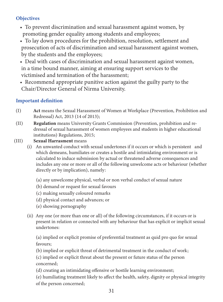# **Objectives**

- To prevent discrimination and sexual harassment against women, by promoting gender equality among students and employees;
- To lay down procedures for the prohibition, resolution, settlement and prosecution of acts of discrimination and sexual harassment against women, by the students and the employees;
- Deal with cases of discrimination and sexual harassment against women, in a time bound manner, aiming at ensuring support services to the victimised and termination of the harassment;
- Recommend appropriate punitive action against the guilty party to the Chair/Director General of Nirma University.

# Important definition

- (I) Act means the Sexual Harassment of Women at Workplace (Prevention, Prohibition and Redressal) Act, 2013 (14 of 2013);
- (II) Regulation means University Grants Commission (Prevention, prohibition and redressal of sexual harassment of women employees and students in higher educational institutions) Regulations, 2015;
- (III) Sexual Harrasment means
	- (i) An unwanted conduct with sexual undertones if it occurs or which is persistent and which demeans, humiliates or creates a hostile and intimidating environment or is calculated to induce submission by actual or threatened adverse consequences and includes any one or more or all of the following unwelcome acts or behaviour (whether directly or by implication), namely:
		- (a) any unwelcome physical, verbal or non verbal conduct of sexual nature
		- (b) demand or request for sexual favours
		- (c) making sexually coloured remarks
		- (d) physical contact and advances; or
		- (e) showing pornography
	- (ii) Any one (or more than one or all) of the following circumstances, if it occurs or is present in relation or connected with any behaviour that has explicit or implicit sexual undertones:

(a) implied or explicit promise of preferential treatment as quid pro quo for sexual favours;

(b) implied or explicit threat of detrimental treatment in the conduct of work;

(c) implied or explicit threat about the present or future status of the person concerned;

(d) creating an intimidating offensive or hostile learning environment;

(e) humiliating treatment likely to affect the health, safety, dignity or physical integrity of the person concerned;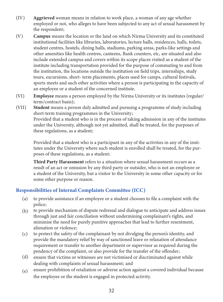- (IV) Aggrieved woman means in relation to work place, a woman of any age whether employed or not, who alleges to have been subjected to any act of sexual harassment by the respondent;
- (V) Campus means the location or the land on which Nirma University and its constituted institutional facilities like libraries, laboratories, lecture halls, residences, halls, toilets, student centres, hostels, dining halls, stadiums, parking areas, parks-like settings and other amenities like health centres, canteens, Bank counters, etc, are situated and also include extended campus and covers within its scope places visited as a student of the institute including transportation provided for the purpose of commuting to and from the institution, the locations outside the institution on field trips, internships, study tours, excursions, short- term placements, places used for camps, cultural festivals, sports meets and such other activities where a person is participating in the capacity of an employee or a student of the concerned institute.
- (VI) Employee means a person employed by the Nirma University or its institutes (regular/ term/contract basis);
- (VII) Student means a person duly admitted and pursuing a programme of study including short-term training programmes in the University; Provided that a student who is in the process of taking admission in any of the institutes under the University, although not yet admitted, shall be treated, for the purposes of these regulations, as a student;

Provided that a student who is a participant in any of the activities in any of the institutes under the University where such student is enrolled shall be treated, for the purposes of these regulations, as a student;

Third Party Harassment refers to a situation where sexual harassment occurs as a result of an act or omission by any third party or outsider, who is not an employee or a student of the University, but a visitor to the University in some other capacity or for some other purpose or reason.

# Responsibilities of Internal Complaints Committee (ICC)

- (a) to provide assistance if an employee or a student chooses to file a complaint with the police;
- (b) to provide mechanism of dispute redressal and dialogue to anticipate and address issues through just and fair conciliation without undermining complainant's rights, and minimise the need for purely punitive approaches that lead to further resentment, alienation or violence;
- $(c)$ to protect the safety of the complainant by not divulging the person's identity, and provide the mandatory relief by way of sanctioned leave or relaxation of attendance requirement or transfer to another department or supervisor as required during the pendency of the complaint, or also provide for the transfer of the offender;
- (d) ensure that victims or witnesses are not victimised or discriminated against while dealing with complaints of sexual harassment; and
- (e) ensure prohibition of retaliation or adverse action against a covered individual because the employee or the student is engaged in protected activity.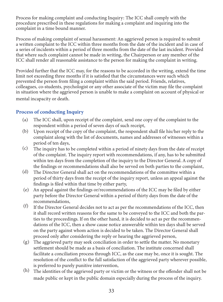Process for making complaint and conducting Inquiry: The ICC shall comply with the procedure prescribed in these regulations for making a complaint and inquiring into the complaint in a time bound manner.

Process of making complaint of sexual harassment: An aggrieved person is required to submit a written complaint to the ICC within three months from the date of the incident and in case of a series of incidents within a period of three months from the date of the last incident. Provided that where such complaint cannot be made in writing, the Chairperson or any member of the ICC shall render all reasonable assistance to the person for making the complaint in writing.

Provided further that the ICC may, for the reasons to be accorded in the writing, extend the time limit not exceeding three months if it is satisfied that the circumstances were such which prevented the person from filing a complaint within the said period. Friends, relatives, colleagues, co-students, psychologist or any other associate of the victim may file the complaint in situation where the aggrieved person is unable to make a complaint on account of physical or mental incapacity or death.

# Process of conducting Inquiry

- The ICC shall, upon receipt of the complaint, send one copy of the complaint to the respondent within a period of seven days of such receipt, (a)
- (b) Upon receipt of the copy of the complaint, the respondent shall file his/her reply to the complaint along with the list of documents, names and addresses of witnesses within a period of ten days,
- The inquiry has to be completed within a period of ninety days from the date of receipt of the complaint. The inquiry report with recommendations, if any, has to be submitted within ten days from the completion of the inquiry to the Director General. A copy of the findings or recommendations shall also be served on both parties to the complaint,  $(c)$
- The Director General shall act on the recommendations of the committee within a (d) period of thirty days from the receipt of the inquiry report, unless an appeal against the findings is filed within that time by either party,
- An appeal against the findings or/recommendations of the ICC may be filed by either (e) party before the Director General within a period of thirty days from the date of the recommendations,
- If the Director General decides not to act as per the recommendations of the ICC, then it shall record written reasons for the same to be conveyed to the ICC and both the parties to the proceedings. If on the other hand, it is decided to act as per the recommendations of the ICC, then a show cause notice answerable within ten days shall be served on the party against whom action is decided to be taken. The Director General shall proceed only after considering the reply or hearing the aggrieved person, (f)
- The aggrieved party may seek conciliation in order to settle the matter. No monetary (g) settlement should be made as a basis of conciliation. The institute concerned shall facilitate a conciliation process through ICC, as the case may be, once it is sought. The resolution of the conflict to the full satisfaction of the aggrieved party wherever possible, is preferred to purely punitive intervention,
- $(h)$  The identities of the aggrieved party or victim or the witness or the offender shall not be made public or kept in the public domain especially during the process of the inquiry.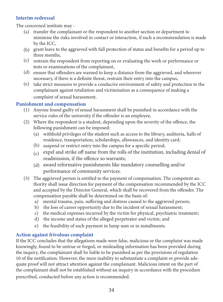# Interim redressal

The concerned institute may -

- (a) transfer the complainant or the respondent to another section or department to minimise the risks involved in contact or interaction, if such a recommendation is made by the ICC,
- (b) grant leave to the aggrieved with full protection of status and benefits for a period up to three months,
- (c) restrain the respondent from reporting on or evaluating the work or performance or tests or examinations of the complainant,
- (d) ensure that offenders are warned to keep a distance from the aggrieved, and wherever necessary, if there is a definite threat, restrain their entry into the campus,
- (e) take strict measures to provide a conducive environment of safety and protection to the complainant against retaliation and victimisation as a consequence of making a complaint of sexual harassment.

# Punishment and compensation

- (1) Anyone found guilty of sexual harassment shall be punished in accordance with the service rules of the university if the offender is an employee,
- (2) Where the respondent is a student, depending upon the severity of the offence, the following punishment can be imposed:
	- withhold privileges of the student such as access to the library, auditoria, halls of (a) residence, transportation, scholarships, allowances, and identity card;
	- (b) suspend or restrict entry into the campus for a specific period;
	- $(c)$  expel and strike off name from the rolls of the institution, including denial of readmission, if the offence so warrants;
	- award reformative punishments like mandatory counselling and/or (d) performance of community services.
- (3) The aggrieved person is entitled to the payment of compensation. The competent authority shall issue direction for payment of the compensation recommended by the ICC and accepted by the Director General, which shall be recovered from the offender. The compensation payable shall be determined on the basis of:
	- a) mental trauma, pain, suffering and distress caused to the aggrieved person;
	- b) the loss of career opportunity due to the incident of sexual harassment;
	- c) the medical expenses incurred by the victim for physical, psychiatric treatment;
	- d) the income and status of the alleged perpetrator and victim; and
	- e) the feasibility of such payment in lump sum or in installments.

# Action against frivolous complaint

If the ICC concludes that the allegations made were false, malicious or the complaint was made knowingly, found to be untrue or forged, or misleading information has been provided during the inquiry, the complainant shall be liable to be punished as per the provisions of regulation 10 of the notification. However, the mere inability to substantiate a complaint or provide adequate proof will not attract attention against the complainant. Malicious intent on the part of the complainant shall not be established without an inquiry in accordance with the procedure prescribed, conducted before any action is recommended.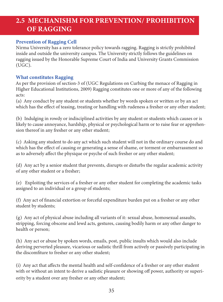# 2.5 MECHANISHM FOR PREVENTION/ PROHIBITION OF RAGGING

# Prevention of Ragging Cell

Nirma University has a zero tolerance policy towards ragging. Ragging is strictly prohibited inside and outside the university campus. The University strictly follows the guidelines on ragging issued by the Honorable Supreme Court of India and University Grants Commission (UGC).

#### What constitutes Ragging

As per the provision of section-3 of (UGC Regulations on Curbing the menace of Ragging in Higher Educational Institutions, 2009) Ragging constitutes one or more of any of the following acts:

(a) Any conduct by any student or students whether by words spoken or written or by an act which has the effect of teasing, treating or handling with rudeness a fresher or any other student;

(b) Indulging in rowdy or indisciplined activities by any student or students which causes or is likely to cause annoyance, hardship, physical or psychological harm or to raise fear or apprehension thereof in any fresher or any other student;

(c) Asking any student to do any act which such student will not in the ordinary course do and which has the effect of causing or generating a sense of shame, or torment or embarrassment so as to adversely affect the physique or psyche of such fresher or any other student;

(d) Any act by a senior student that prevents, disrupts or disturbs the regular academic activity of any other student or a fresher;

(e) Exploiting the services of a fresher or any other student for completing the academic tasks assigned to an individual or a group of students;

(f) Any act of financial extortion or forceful expenditure burden put on a fresher or any other student by students;

(g) Any act of physical abuse including all variants of it: sexual abuse, homosexual assaults, stripping, forcing obscene and lewd acts, gestures, causing bodily harm or any other danger to health or person;

(h) Any act or abuse by spoken words, emails, post, public insults which would also include deriving perverted pleasure, vicarious or sadistic thrill from actively or passively participating in the discomfiture to fresher or any other student;

(i) Any act that affects the mental health and self-confidence of a fresher or any other student with or without an intent to derive a sadistic pleasure or showing off power, authority or superiority by a student over any fresher or any other student;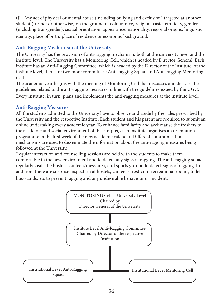(j) Any act of physical or mental abuse (including bullying and exclusion) targeted at another student (fresher or otherwise) on the ground of colour, race, religion, caste, ethnicity, gender (including transgender), sexual orientation, appearance, nationality, regional origins, linguistic identity, place of birth, place of residence or economic background.

# Anti-Ragging Mechanism at the University

The University has the provision of anti-ragging mechanism, both at the university level and the institute level. The University has a Monitoring Cell, which is headed by Director General. Each institute has an Anti-Ragging Committee, which is headed by the Director of the Institute. At the institute level, there are two more committees: Anti-ragging Squad and Anti-ragging Mentoring Cell.

The academic year begins with the meeting of Monitoring Cell that discusses and decides the guidelines related to the anti-ragging measures in line with the guidelines issued by the UGC. Every institute, in turn, plans and implements the anti-ragging measures at the institute level.

#### Anti-Ragging Measures

All the students admitted to the University have to observe and abide by the rules prescribed by the University and the respective Institute. Each student and his parent are required to submit an online undertaking every academic year. To enhance familiarity and acclimatise the freshers to the academic and social environment of the campus, each institute organises an orientation programme in the first week of the new academic calendar. Different communication mechanisms are used to disseminate the information about the anti-ragging measures being followed at the University.

Regular interaction and counselling sessions are held with the students to make them comfortable in the new environment and to detect any signs of ragging. The anti-ragging squad regularly visits the hostels, canteen/mess area, and sports ground to detect signs of ragging. In addition, there are surprise inspection at hostels, canteens, rest-cum-recreational rooms, toilets,

bus-stands, etc to prevent ragging and any undesirable behaviour or incident.

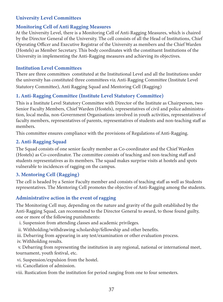# University Level Committees

#### Monitoring Cell of Anti Ragging Measures

At the University Level, there is a Monitoring Cell of Anti-Ragging Measures, which is chaired by the Director General of the University. The cell consists of all the Head of Institutions, Chief Operating Officer and Executive Registrar of the University as members and the Chief Warden (Hostels) as Member Secretary. This body coordinates with the constituent Institutions of the University in implementing the Anti-Ragging measures and achieving its objectives.

#### Institution Level Committees

There are three committees constituted at the Institutional Level and all the Institutions under the university has constituted three committees viz. Anti-Ragging Committee (Institute Level Statutory Committee), Anti Ragging Squad and Mentoring Cell (Ragging)

# 1. Anti-Ragging Committee (Institute Level Statutory Committee)

This is a Institute Level Statutory Committee with Director of the Institute as Chairperson, two Senior Faculty Members, Chief Warden (Hostels), representatives of civil and police administration, local media, non-Government Organisations involved in youth activities, representatives of faculty members, representatives of parents, representatives of students and non-teaching staff as members.

This committee ensures compliance with the provisions of Regulations of Anti-Ragging.

# 2. Anti-Ragging Squad

The Squad consists of one senior faculty member as Co-coordinator and the Chief Warden (Hostels) as Co-coordinator. The committee consists of teaching and non-teaching staff and students representatives as its members. The squad makes surprise visits at hostels and spots vulnerable to incidences of ragging on the campus.

# 3. Mentoring Cell (Ragging)

The cell is headed by a Senior Faculty member and consists of teaching staff as well as Students representatives. The Mentoring Cell promotes the objective of Anti-Ragging among the students.

# Administrative action in the event of ragging

The Monitoring Cell may, depending on the nature and gravity of the guilt established by the Anti-Ragging Squad, can recommend to the Director General to award, to those found guilty, one or more of the following punishments:

- i. Suspension from attending classes and academic privileges.
- ii. Withholding/withdrawing scholarship/fellowship and other benefits.
- iii. Debarring from appearing in any test/examination or other evaluation process.
- iv. Withholding results.

 v. Debarring from representing the institution in any regional, national or international meet, tournament, youth festival, etc.

- vi. Suspension/expulsion from the hostel.
- vii. Cancellation of admission.
- viii. Rustication from the institution for period ranging from one to four semesters.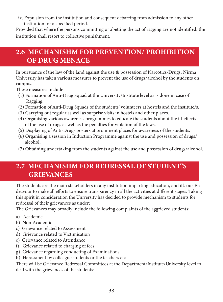ix. Expulsion from the institution and consequent debarring from admission to any other institution for a specified period.

Provided that where the persons committing or abetting the act of ragging are not identified, the institution shall resort to collective punishment.

# 2.6 MECHANISHM FOR PREVENTION/ PROHIBITION OF DRUG MENACE

In pursuance of the law of the land against the use & possession of Narcotics-Drugs, Nirma University has taken various measures to prevent the use of drugs/alcohol by the students on campus.

These measures include:

- (1) Formation of Anti-Drug Squad at the University/Institute level as is done in case of Ragging.
- (2) Formation of Anti-Drug Squads of the students' volunteers at hostels and the institute/s.
- (3) Carrying out regular as well as surprise visits in hostels and other places.
- (4) Organising various awareness programmes to educate the students about the ill-effects of the use of drugs as well as the penalties for violation of the laws.
- (5) Displaying of Anti-Drugs posters at prominent places for awareness of the students.
- (6) Organising a session in Induction Programme against the use and possession of drugs/ alcohol.
- (7) Obtaining undertaking from the students against the use and possession of drugs/alcohol.

# 2.7 MECHANISHM FOR REDRESSAL OF STUDENT'S GRIEVANCES

The students are the main stakeholders in any institution imparting education, and it's our Endeavour to make all efforts to ensure transparency in all the activities at different stages. Taking this spirit in consideration the University has decided to provide mechanism to students for redressal of their grievances as under:

The Grievances may broadly include the following complaints of the aggrieved students:

- a) Academic
- b) Non-Academic
- c) Grievance related to Assessment
- d) Grievance related to Victimisation
- e) Grievance related to Attendance
- f) Grievance related to charging of fees
- g) Grievance regarding conducting of Examinations
- h) Harassment by colleague students or the teachers etc

There will be Grievance Redressal Committees at the Department/Institute/University level to deal with the grievances of the students: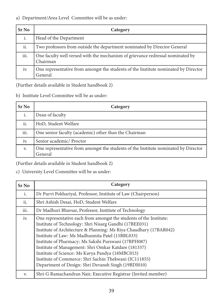#### a) Department/Area Level Committee will be as under:

| <b>Sr No</b> | Category                                                                                       |
|--------------|------------------------------------------------------------------------------------------------|
| i.           | Head of the Department                                                                         |
| ii.          | Two professors from outside the department nominated by Director General                       |
| iii.         | One faculty well versed with the mechanism of grievance redressal nominated by<br>Chairman     |
| iv.          | One representative from amongst the students of the Institute nominated by Director<br>General |

(Further details available in Student handbook 2)

b) Institute Level Committee will be as under:

| <b>Sr</b> No | Category                                                                                       |
|--------------|------------------------------------------------------------------------------------------------|
| i.           | Dean of faculty                                                                                |
| ii.          | HoD, Student Welfare                                                                           |
| iii.         | One senior faculty (academic) other than the Chairman                                          |
| iv.          | Senior academic/ Proctor                                                                       |
| V.           | One representative from amongst the students of the Institute nominated by Director<br>General |

(Further details available in Student handbook 2)

# c) University Level Committee will be as under:

| Sr No          | Category                                                                                                                                                                                                                                                                                                                                                                                                                                                                                                                                     |
|----------------|----------------------------------------------------------------------------------------------------------------------------------------------------------------------------------------------------------------------------------------------------------------------------------------------------------------------------------------------------------------------------------------------------------------------------------------------------------------------------------------------------------------------------------------------|
| $\mathbf{i}$ . | Dr Purvi Pokhariyal, Professor, Institute of Law (Chairperson)                                                                                                                                                                                                                                                                                                                                                                                                                                                                               |
| ii.            | Shri Ashish Desai, HoD, Student Welfare                                                                                                                                                                                                                                                                                                                                                                                                                                                                                                      |
| iii.           | Dr Madhuri Bhavsar, Professor, Institute of Technology                                                                                                                                                                                                                                                                                                                                                                                                                                                                                       |
| iv.            | One representative each from amongst the students of the Institute:<br>Institute of Technology: Shri Nisarg Gandhi (17BEE031)<br>Institute of Architecture & Planning: Ms Riya Chaudhary (17BAR042)<br>Institute of Law: Ms Madhusmita Patel (15BBL033)<br>Institute of Pharmacy: Ms Sakshi Purswani (17BPH087)<br>Institute of Management: Shri Omkar Katdare (181337)<br>Institute of Science: Ms Kavya Pandya (18MBC013)<br>Institute of Commerce: Shri Sachin Thekwani (IC111855)<br>Department of Design: Shri Devansh Singh (19BDI010) |
| V.             | Shri G Ramachandran Nair, Executive Registrar (Invited member)                                                                                                                                                                                                                                                                                                                                                                                                                                                                               |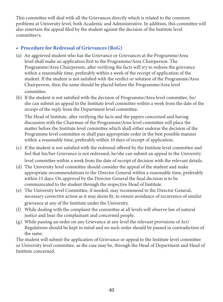This committee will deal with all the Grievances directly which is related to the common problems at University level, both Academic and Administrative. In addition, this committee will also entertain the appeal filed by the student against the decision of the Institute level committee/s.

# • Procedure for Redressal of Grievances (RoG)

- An aggrieved student who has the Grievance or Grievances at the Programme/Area (a) level shall make an application first to the Programme/Area Chairperson. The Programme/Area Chairperson, after verifying the facts will try to redress the grievance within a reasonable time, preferably within a week of the receipt of application of the student. If the student is not satisfied with the verdict or solution of the Programme/Area Chairperson, then the same should be placed before the Programme/Area level committee.
- (b) If the student is not satisfied with the decision of Programme/Area level committee, he/ she can submit an appeal to the Institute level committee within a week from the date of the receipt of the reply from the Department level committee.

The Head of Institute, after verifying the facts and the papers concerned and having discussion with the Chairman of the Programme/Area level committee will place the matter before the Institute level committee which shall either endorse the decision of the Programme level committee or shall pass appropriate order in the best possible manner within a reasonable time, preferably within 10 days of receipt of application.

- (c) If the student is not satisfied with the redressal offered by the Institute level committee and feel that his/her Grievance is not redressed, he/she can submit an appeal to the University level committee within a week from the date of receipt of decision with the relevant details.
- (d) The University level committee should consider the appeal of the student and make appropriate recommendations to the Director General within a reasonable time, preferably within 15 days. On approval by the Director General the final decision is to be communicated to the student through the respective Head of Institute.
- (e) The University level Committee, if needed, may recommend to the Director General, necessary corrective action as it may deem fit, to ensure avoidance of recurrence of similar grievance at any of the Institute under the University.
- (f) While dealing with the complaint the committee at all levels will observe law of natural justice and hear the complainant and concerned people.
- (g) While passing an order on any Grievance at any level the relevant provisions of Act/ Regulations should be kept in mind and no such order should be passed in contradiction of the same.

The student will submit the application of Grievance or appeal to the Institute level committee or University level committee, as the case may be, through the Head of Department and Head of Institute concerned.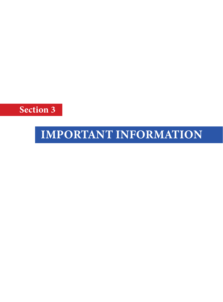Section 3

# IMPORTANT INFORMATION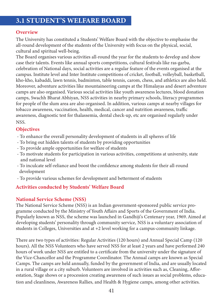# 3.1 STUDENT'S WELFARE BOARD

#### **Overview**

The University has constituted a Students' Welfare Board with the objective to emphasise the all-round development of the students of the University with focus on the physical, social, cultural and spiritual well-being.

The Board organises various activities all-round the year for the students to develop and show case their talents. Events like annual sports competitions, cultural festivals like ras-garba, celebration of National days, social activities are a regular feature of the events organised at the campus. Institute level and Inter Institute competitions of cricket, football, volleyball, basketball, kho-kho, kabaddi, lawn tennis, badminton, table tennis, carom, chess, and athletics are also held. Moreover, adventure activities like mountaineering camps at the Himalayas and desert adventure camps are also organised. Various social activities like youth awareness lectures, blood donation camps, Swachh Bharat Abhiyan, NSS activities in nearby primary schools, literacy programmes for people of the slum area are also organised. In addition, various camps at nearby villages for tobacco awareness, vaccination, health, medical, cancer and nutrition awareness, traffic awareness, diagnostic test for thalassemia, dental check-up, etc are organised regularly under NSS.

# **Objectives**

- To enhance the overall personality development of students in all spheres of life
- To bring out hidden talents of students by providing opportunities
- To provide ample opportunities for welfare of students
- To motivate students for participation in various activities, competitions at university, state and national level
- To inculcate self-reliance and boost the confidence among students for their all-round development
- To provide various schemes for development and betterment of students

# Activities conducted by Students' Welfare Board

# National Service Scheme (NSS)

The National Service Scheme (NSS) is an Indian government-sponsored public service programme conducted by the Ministry of Youth Affairs and Sports of the Government of India. Popularly known as NSS, the scheme was launched in Gandhiji's Centenary year, 1969. Aimed at developing students' personality through community service, NSS is a voluntary association of students in Colleges, Universities and at +2 level working for a campus-community linkage.

There are two types of activities: Regular Activities (120 hours) and Annual Special Camp (120 hours). All the NSS Volunteers who have served NSS for at least 2 years and have performed 240 hours of work under NSS are entitled to a certificate from the university under the signature of the Vice-Chancellor and the Programme Coordinator. The Annual camps are known as Special Camps. The camps are held annually, funded by the government of India, and are usually located in a rural village or a city suburb. Volunteers are involved in activities such as, Cleaning, Afforestation, Stage shows or a procession creating awareness of such issues as social problems, education and cleanliness, Awareness Rallies, and Health & Hygiene camps, among other activities.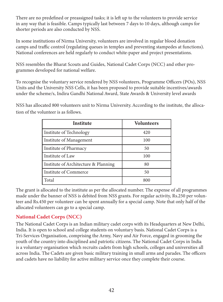There are no predefined or preassigned tasks; it is left up to the volunteers to provide service in any way that is feasible. Camps typically last between 7 days to 10 days, although camps for shorter periods are also conducted by NSS.

In some institutions of Nirma University, volunteers are involved in regular blood donation camps and traffic control (regulating queues in temples and preventing stampedes at functions). National conferences are held regularly to conduct white-paper and project presentations.

NSS resembles the Bharat Scouts and Guides, National Cadet Corps (NCC) and other programmes developed for national welfare.

To recognise the voluntary service rendered by NSS volunteers, Programme Officers (POs), NSS Units and the University NSS Cells, it has been proposed to provide suitable incentives/awards under the scheme/s, Indira Gandhi National Award, State Awards & University level awards

NSS has allocated 800 volunteers unit to Nirma University. According to the institute, the allocation of the volunteer is as follows.

| Institute                            | <b>Volunteers</b> |
|--------------------------------------|-------------------|
| Institute of Technology              | 420               |
| Institute of Management              | 100               |
| Institute of Pharmacy                | 50                |
| Institute of Law                     | 100               |
| Institute of Architecture & Planning | 80                |
| Institute of Commerce                | 50                |
| Total                                | 800               |

The grant is allocated to the institute as per the allocated number. The expense of all programmes made under the banner of NSS is debited from NSS grants. For regular activity, Rs.250 per volunteer and Rs.450 per volunteer can be spent annually for a special camp. Note that only half of the allocated volunteers can go to a special camp.

# National Cadet Corps (NCC)

The National Cadet Corps is an Indian military cadet corps with its Headquarters at New Delhi, India. It is open to school and college students on voluntary basis. National Cadet Corps is a Tri-Services Organisation, comprising the Army, Navy and Air Force, engaged in grooming the youth of the country into disciplined and patriotic citizens. The National Cadet Corps in India is a voluntary organisation which recruits cadets from high schools, colleges and universities all across India. The Cadets are given basic military training in small arms and parades. The officers and cadets have no liability for active military service once they complete their course.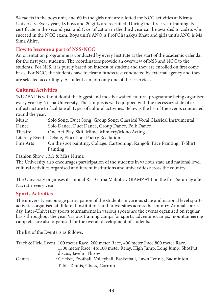54 cadets in the boys unit, and 60 in the girls unit are allotted for NCC activities at Nirma University. Every year, 18 boys and 20 girls are recruited. During the three-year training, B certificate in the second year and C certification in the third year can be awarded to cadets who succeed in the NCC exam. Boys unit's ANO is Prof Chanakya Bhatt and girls unit's ANO is Ms Sima Ahire.

# How to become a part of NSS/NCC

An orientation programme is conducted by every Institute at the start of the academic calendar for the first year students. The coordinators provide an overview of NSS and NCC to the students. For NSS, it is purely based on interest of student and they are enrolled on first come basis. For NCC, the students have to clear a fitness test conducted by external agency and they are selected accordingly. A student can join only one of these services.

# Cultural Activities

'NUZEAL' is without doubt the biggest and mostly awaited cultural programme being organised every year by Nirma University. The campus is well equipped with the necessary state of art infrastructure to facilitate all types of cultural activities. Below is the list of the events conducted round the year:

| Music           | : Solo Song, Duet Song, Group Song, Classical Vocal, Classical Instrumental  |
|-----------------|------------------------------------------------------------------------------|
| Dance           | : Solo Dance, Duet Dance, Group Dance, Folk Dance                            |
| Theatre         | : One Act Play, Skit, Mime, Mimicry/Mono Acting                              |
|                 | Literacy Event : Debate, Elocution, Poetry Recitation                        |
| Fine Arts       | : On the spot painting, Collage, Cartooning, Rangoli, Face Painting, T-Shirt |
|                 | Painting                                                                     |
| <del>.</del> 1. |                                                                              |

Fashion Show : Mr & Miss Nirma

The University also encourages participation of the students in various state and national level cultural activities organised at different institutions and universities across the country.

The University organises its annual Ras-Garba Mahotsav (RAMZAT) on the first Saturday after Navratri every year.

# Sports Activities

The university encourage participation of the students in various state and national level sports activities organised at different institutions and universities across the country. Annual sports day, Inter-University sports tournaments in various sports are the events organised on regular basis throughout the year. Various training camps for sports, adventure camps, mountaineering camp etc. are also organised for the overall development of students.

The list of the Events is as follows:

|       | Track & Field Event: 100 meter Race, 200 meter Race, 400 meter Race, 800 meter Race, |
|-------|--------------------------------------------------------------------------------------|
|       | 1500 meter Race, 4 x 100 meter Relay, High Jump, Long Jump, ShotPut,                 |
|       | discus, Javelin Throw                                                                |
| Games | : Cricket, Football, Volleyball, Basketball, Lawn Tennis, Badminton,                 |
|       | Table Tennis, Chess, Carrom                                                          |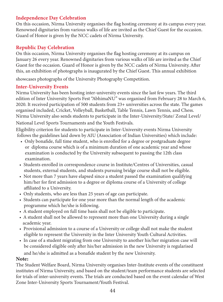# Independence Day Celebration

On this occasion, Nirma University organises the flag hosting ceremony at its campus every year. Renowned dignitaries from various walks of life are invited as the Chief Guest for the occasion. Guard of Honor is given by the NCC cadets of Nirma University.

#### Republic Day Celebration

On this occasion, Nirma University organises the flag hosting ceremony at its campus on January 26 every year. Renowned dignitaries from various walks of life are invited as the Chief Guest for the occasion. Guard of Honor is given by the NCC cadets of Nirma University. After this, an exhibition of photographs is inaugurated by the Chief Guest. This annual exhibition

showcases photographs of the University Photography Competition.

#### Inter-University Events

Nirma University has been hosting inter-university events since the last few years. The third edition of Inter University Sports Fest "AbhimaNU" was organised from February 28 to March 6, 2020. It received participation of 500 students from 23+ universities across the state. The games organised included, Cricket, Volleyball, Basketball, Table Tennis, Lawn Tennis, and Chess. Nirma University also sends students to participate in the Inter-University/State/ Zonal Level/

National Level Sports Tournaments and the Youth Festivals.

Eligibility criterion for students to participate in Inter-University events Nirma University follows the guidelines laid down by AIU (Association of Indian Universities) which include:

- Only bonafide, full time student, who is enrolled for a degree or postgraduate degree or diploma course which is of a minimum duration of one academic year and whose examination is conducted by the University subsequent to passing the 12th class examination.
- Students enrolled in correspondence course in Institute/Centres of Universities, casual students, external students, and students pursuing bridge course shall not be eligible.
- Not more than 7 years have elapsed since a student passed the examination qualifying him/her for first admission to a degree or diploma course of a University of college affiliated to a University.
- Only students, who are less than 25 years of age can participate.
- Students can participate for one year more than the normal length of the academic programme which he/she is following.
- A student employed on full time basis shall not be eligible to participate.
- A student shall not be allowed to represent more than one University during a single academic year.
- Provisional admission to a course of a University or college shall not make the student eligible to represent the University in the Inter University Youth Cultural Activities.
- In case of a student migrating from one University to another his/her migration case will be considered eligible only after his/her admission in the new University is regularised and he/she is admitted as a bonafide student by the new University.

#### Note:

The Student Welfare Board, Nirma University organises Inter-Institute events of the constituent institutes of Nirma University, and based on the student/team performance students are selected for trials of inter-university events. The trials are conducted based on the event calendar of West Zone Inter-University Sports Tournament/Youth Festival.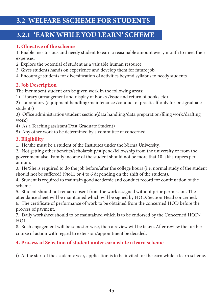# 3.2.1 'EARN WHILE YOU LEARN' SCHEME

# 1. Objective of the scheme

1. Enable meritorious and needy student to earn a reasonable amount every month to meet their expenses.

- 2. Explore the potential of student as a valuable human resource.
- 3. Gives students hands on experience and develop them for future job.
- 4. Encourage students for diversification of activities beyond syllabus to needy students

# 2. Job Description

The incumbent student can be given work in the following areas:

1) Library (arrangement and display of books /issue and return of books etc)

2) Laboratory (equipment handling/maintenance /conduct of practical( only for postgraduate students)

3) Office administration/student section(data handling/data preparation/filing work/drafting work)

- 4) As a Teaching assistant(Post Graduate Student)
- 5) Any other work to be determined by a committee of concerned.

# 3. Eligibility

1. He/she must be a student of the Institutes under the Nirma University.

2. Not getting other benefits/scholarship/stipend/fellowship from the university or from the government also. Family income of the student should not be more that 10 lakhs rupees per annum.

3. He/She is required to do the job before/after the college hours (i.e. normal study of the student should not be suffered) (9to11 or 4 to 6 depending on the shift of the student).

4. Student is required to maintain good academic and conduct record for continuation of the scheme.

5. Student should not remain absent from the work assigned without prior permission. The attendance sheet will be maintained which will be signed by HOD/Section Head concerned.

6. The certificate of performance of work to be obtained from the concerned HOD before the process of payment.

7. Daily worksheet should to be maintained which is to be endorsed by the Concerned HOD/ HOI.

8. Such engagement will be semester-wise, then a review will be taken. After review the further course of action with regard to extension/appointment be decided.

# 4. Process of Selection of student under earn while u learn scheme

i) At the start of the academic year, application is to be invited for the earn while u learn scheme.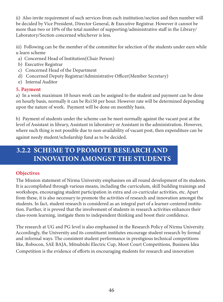ii) Also invite requirement of such services from each institution/section and then number will be decided by Vice President, Director General, & Executive Registrar. However it cannot be more than two or 10% of the total number of supporting/administrative staff in the Library/ Laboratory/Section concerned whichever is less.

iii) Following can be the member of the committee for selection of the students under earn while u learn scheme

- a) Concerned Head of Institution(Chair Person)
- b) Executive Registrar
- c) Concerned Head of the Department
- d) Concerned Deputy Registrar/Administrative Officer(Member Secretary)
- e) Internal Auditor

# 5. Payment

a) In a week maximum 10 hours work can be assigned to the student and payment can be done on hourly basis, normally it can be Rs150 per hour. However rate will be determined depending upon the nature of work. Payment will be done on monthly basis.

b) Payment of students under the scheme can be meet normally against the vacant post at the level of Assistant in library, Assistant in laboratory or Assistant in the administration. However, where such thing is not possible due to non-availability of vacant post, then expenditure can be against needy student/scholarship fund as to be decided.

# 3.2.2 SCHEME TO PROMOTE RESEARCH AND INNOVATION AMONGST THE STUDENTS

# **Objectives**

The Mission statement of Nirma University emphasises on all round development of its students. It is accomplished through various means, including the curriculum, skill building trainings and workshops, encouraging student participation in extra and co-curricular activities, etc. Apart from these, it is also necessary to promote the activities of research and innovation amongst the students. In fact, student research is considered as an integral part of a learner-centered institution. Further, it is proved that the involvement of students in research activities enhances their class-room learning, instigate them to independent thinking and boost their confidence.

The research at UG and PG level is also emphasised in the Research Policy of Nirma University. Accordingly, the University and its constituent institutes encourage student research by formal and informal ways. The consistent student performance in prestigious technical competitions like, Robocon, SAE BAJA, Mitsubishi Electric Cup, Moot Court Competitions, Business Idea Competition is the evidence of efforts in encouraging students for research and innovation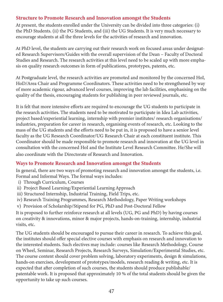# Structure to Promote Research and Innovation amongst the Students

At present, the students enrolled under the University can be divided into three categories: (i) the PhD Students. (ii) the PG Students, and (iii) the UG Students. It is very much necessary to encourage students at all the three levels for the activities of research and innovation.

At PhD level, the students are carrying out their research work on focused areas under designated Research Supervisors/Guides with the overall supervision of the Dean – Faculty of Doctoral Studies and Research. The research activities at this level need to be scaled up with more emphasis on quality research outcomes in form of publications, prototypes, patents, etc.

At Postgraduate level, the research activities are promoted and monitored by the concerned HoI, HoD/Area Chair and Programme Coordinators. These activities need to be strengthened by way of more academic rigour, advanced level courses, improving the lab facilities, emphasising on the quality of the thesis, encouraging students for publishing in peer reviewed journals, etc.

It is felt that more intensive efforts are required to encourage the UG students to participate in the research activities. The students need to be motivated to participate in Idea Lab activities, project based/experiential learning, internship with premier institutes/ research organisations/ industries, preparation for career in research, organising events of research, etc. Looking to the mass of the UG students and the efforts need to be put in, it is proposed to have a senior level faculty as the UG Research Coordinator/UG Research Chair at each constituent institute. This Coordinator should be made responsible to promote research and innovation at the UG level in consultation with the concerned HoI and the Institute Level Research Committee. He/She will also coordinate with the Directorate of Research and Innovation.

# Ways to Promote Research and Innovation amongst the Students

In general, there are two ways of promoting research and innovation amongst the students, i.e. Formal and Informal Ways. The formal ways includes:

- i) Through Curriculum, Courses
- ii) Project Based Learning/Experiential Learning Approach
- iii) Structured Internship, Industrial Training, Field Trips, etc.
- iv) Research Training Programmes, Research Methodology, Paper Writing workshops
- v) Provision of Scholarship/Stipend for PG, PhD and Post-Doctoral Fellow

It is proposed to further reinforce research at all levels (UG, PG and PhD) by having courses on creativity & innovations, minor & major projects, hands-on-training, internship, industrial visits, etc.

The UG students should be encouraged to pursue their career in research. To achieve this goal, the institutes should offer special elective courses with emphasis on research and innovation to the interested students. Such electives may include: courses like Research Methodology, Course on Wheel, Seminar, Research Projects, Research Surveys, Simulation/Experimental Studies, etc. The course content should cover problem solving, laboratory experiments, design & simulations, hands-on exercises, development of prototypes/models, research reading & writing, etc. It is expected that after completion of such courses, the students should produce publishable/ patentable work. It is proposed that approximately 10 % of the total students should be given the opportunity to take up such courses.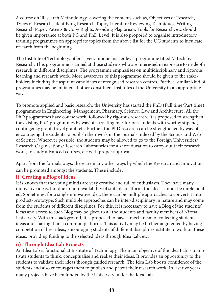A course on 'Research Methodology' covering the contents such as, Objectives of Research, Types of Research, Identifying Research Topic, Literature Reviewing Techniques, Writing Research Paper, Patents & Copy Rights, Avoiding Plagiarism, Tools for Research, etc should be given importance at both PG and PhD Level. It is also proposed to organise introductory training programmes on appropriate topics from the above list for the UG students to inculcate research from the beginning.

The Institute of Technology offers a very unique master level programme titled MTech by Research. This programme is aimed at those students who are interested in exposure to in-depth research in different disciplines. The programme emphasises on multidisciplinary and rigorous learning and research work. More awareness of this programme should be given to the stakeholders including the aspirant candidates of recognised research centres. Further, similar kind of programmes may be initiated at other constituent institutes of the University in an appropriate way.

To promote applied and basic research, the University has started the PhD (Full time/Part time) programmes in Engineering, Management, Pharmacy, Science, Law and Architecture. All the PhD programmes have course work, followed by rigorous research. It is proposed to strengthen the existing PhD programmes by way of attracting meritorious students with worthy stipend, contingency grant, travel grant, etc. Further, the PhD research can be strengthened by way of encouraging the students to publish their work in the journals indexed by the Scopus and Web of Science. Wherever possible, the students may be allowed to go to the Foreign Universities/ Research Organisations/Research Laboratories for a short duration to carry-out their research work, to study advanced courses, etc with proper approvals.

Apart from the formals ways, there are many other ways by which the Research and Innovation can be promoted amongst the students. These include:

#### i) Creating a Blog of Ideas

It is known that the young minds are very creative and full of enthusiasm. They have many innovative ideas, but due to non-availability of suitable platform, the ideas cannot be implemented. Sometimes, for a single innovative idea, there can be multiple approaches to convert it into product/prototype. Such multiple approaches can be inter-disciplinary in nature and may come from the students of different disciplines. For this, it is necessary to have a Blog of the students' ideas and access to such Blog may be given to all the students and faculty members of Nirma University. With this background, it is proposed to have a mechanism of collecting students' ideas and sharing it on a common platform. This activity may be further augmented by having competition of best ideas, encouraging students of different discipline/institute to work on these ideas, providing funding to the selected ideas through Idea Lab, etc.

# ii) Through Idea Lab Projects

An Idea Lab is functional at Institute of Technology. The main objective of the Idea Lab is to motivate students to think, conceptualise and realise their ideas. It provides an opportunity to the students to validate their ideas through guided research. The Idea Lab boosts confidence of the students and also encourages them to publish and patent their research work. In last five years, many projects have been funded by the University under the Idea Lab.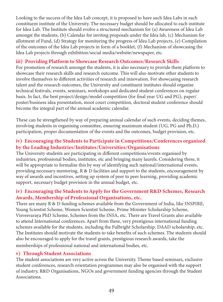Looking to the success of the Idea Lab concept, it is proposed to have such Idea Labs in each constituent institute of the University. The necessary budget should be allocated to each institute for Idea Lab. The Institute should evolve a structured mechanism for (a) Awareness of Idea Lab amongst the students, (b) Calendar for inviting proposals under the Idea lab, (c) Mechanism for allotment of Fund, (d) Strategy for monitoring the progress of Idea Lab projects, (e) Compilation of the outcomes of the Idea Lab projects in form of a booklet, (f) Mechanism of showcasing the Idea Lab projects through exhibition/social media/website/newspaper, etc.

#### iii) Providing Platform to Showcase Research Outcomes/Research Skills

For promotion of research amongst the students, it is also necessary to provide them platform to showcase their research skills and research outcome. This will also motivate other students to involve themselves to different activities of research and innovation. For showcasing research talent and the research outcomes, the University and constituent institutes should organise technical festivals, events, seminars, workshops and dedicated student conferences on regular basis. In fact, the best project/design/model competition (for final year UG and PG), paper/ poster/business idea presentation, moot court competition, doctoral student conference should become the integral part of the annual academic calendar.

These can be strengthened by way of preparing annual calendar of such events, deciding themes, involving students in organising committee, ensuring maximum student (UG, PG and Ph.D.) participation, proper documentation of the events and the outcomes, budget provision, etc.

# iv) Encouraging the Students to Participate in Competitions/Conferences organised by the Leading Industries/Institutes/Universities/Organisations

The University students are participating in different competitions/events organised by industries, professional bodies, institutes, etc and bringing many laurels. Considering these, it will be appropriate to formalise this by way of identifying such national/international events, providing necessary mentoring, R & D facilities and support to the students, encouragement by way of awards and incentives, setting up system of peer to peer learning, providing academic support, necessary budget provision in the annual budget, etc.

# iv) Encouraging the Students to Apply for the Government R&D Schemes, Research Awards, Membership of Professional Organisations, etc.

There are many R & D funding schemes available from the Government of India, like INSPIRE, Young Scientist Scheme, Women Scientist Scheme, Prime Minister Scholarship Scheme, Visvesvaraya PhD Scheme, Schemes from the INSA, etc. There are Travel Grants also available to attend International conferences. Apart from these, very prestigious international funding schemes available for the students, including the Fulbright Scholarship, DAAD scholarship, etc. The Institutes should motivate the students to take benefits of such schemes. The students should also be encouraged to apply for the travel grants, prestigious research awards, take the memberships of professional national and international bodies, etc.

# v) Through Student Associations

The student associations are very active across the University. Theme based seminars, exclusive student conferences, research orientation programmes may also be organised with the support of industry, R&D Organisations, NGOs and government funding agencies through the Student Associations.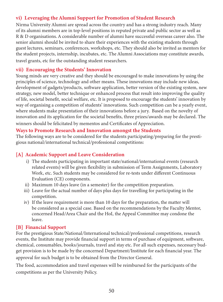# vi) Leveraging the Alumni Support for Promotion of Student Research

Nirma University Alumni are spread across the country and has a strong industry reach. Many of its alumni members are in top-level positions in reputed private and public sector as well as R & D organisations. A considerable number of alumni have successful overseas career also. The senior alumni should be invited to share their experiences with the existing students through guest lectures, seminars, conferences, workshops, etc. They should also be invited as mentors for the student projects, internship, incubates, etc. The Alumni Associations may constitute awards, travel grants, etc for the outstanding student researchers.

#### vii) Encouraging the Students' Innovation

Young minds are very creative and they should be encouraged to make innovations by using the principles of science, technology and other means. These innovations may include new ideas, development of gadgets/products, software application, better version of the existing system, new strategy, new model, better technique or enhanced process that result into improving the quality of life, societal benefit, social welfare, etc. It is proposed to encourage the students' innovation by way of organising a competition of students' innovations. Such competition can be a yearly event, where students make presentation of their innovations before a jury. Based on the novelty of innovation and its application for the societal benefits, three prizes/awards may be declared. The winners should be felicitated by mementos and Certificates of Appreciation.

#### Ways to Promote Research and Innovation amongst the Students

The following ways are to be considered for the students participating/preparing for the prestigious national/international technical/professional competitions:

#### [A] Academic Support and Leave Consideration

- i) The students participating in important state/national/international events (research related events) will be given flexibility in submission of Term Assignments, Laboratory Work, etc. Such students may be considered for re-tests under different Continuous Evaluation (CE) components.
- ii) Maximum 10 days leave (in a semester) for the competition preparation.
- iii) Leave for the actual number of days plus days for travelling for participating in the competition.
- iv) If the leave requirement is more than 10 days for the preparation, the matter will be considered as a special case. Based on the recommendations by the Faculty Mentor, concerned Head/Area Chair and the HoI, the Appeal Committee may condone the leave.

#### [B] Financial Support

For the prestigious State/National/International technical/professional competitions, research events, the Institute may provide financial support in terms of purchase of equipment, software, chemical, consumables, books/journals, travel and stay etc. For all such expenses, necessary budget provision is to be made by the concerned Department/Institute for each financial year. The approval for such budget is to be obtained from the Director General.

The food, accommodation and travel expenses will be reimbursed for the participants of the competitions as per the University Policy.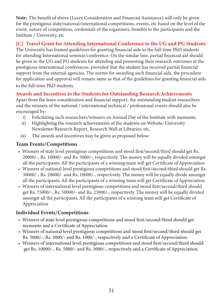Note: The benefit of above (Leave Consideration and Financial Assistance) will only be given for the prestigious state/national/international competitions, events, etc based on the level of the event, nature of competition, credentials of the organisers, benefits to the participants and the Institute / University, etc

# [C] Travel Grant for Attending International Conference to the UG and PG Students

The University has framed guidelines for granting financial aids to the full-time PhD students for attending International seminar/conference. On the similar line, partial financial aid should be given to the UG and PG students for attending and presenting their research outcomes at the prestigious international conferences, provided that the student has received partial financial support from the external agencies. The norms for awarding such financial aids, the procedure for application and approval will remain same as that of the guidelines for granting financial aids to the full-time PhD students.

# Awards and Incentives to the Students for Outstanding Research Achievements

Apart from the leave consideration and financial support, the outstanding student researchers and the winners of the national / international technical / professional events should also be encouraged by:

- i) Felicitating such researchers/winners on Annual Day of the Institute with memento.
- ii) Highlighting the research achievements of the students on Website, University Newsletter/Research Report, Research Wall at Libraries, etc.
- iii) The awards and incentives may be given as proposed below:

# Team Events/Competitions

- Winners of state level prestigious competitions and stood first/second/third should get Rs. 20000/-, Rs. 10000/- and Rs. 5000/-, respectively. The money will be equally divided amongst all the participants. All the participants of a winning team will get Certificate of Appreciation
- Winners of national level prestigious competitions and stood first/second/third should get Rs. 30000/-, Rs. 20000/- and Rs. 10000/-, respectively. The money will be equally divide amongst all the participants. All the participants of a winning team will get Certificate of Appreciation
- Winners of international level prestigious competitions and stood first/second/third should get Rs. 75000/-, Rs. 50000/- and Rs. 25000/-, respectively. The money will be equally divided amongst all the participants. All the participants of a winning team will get Certificate of Appreciation

# Individual Events/Competitions

- Winners of state level prestigious competitions and stood first/second/third should get memento and a Certificate of Appreciation.
- Winners of national level prestigious competitions and stood first/second/third should get Rs. 5000/-, Rs. 2000/- and Rs. 1000/-, respectively and a Certificate of Appreciation.
- Winners of international level prestigious competitions and stood first/second/third should get Rs. 10000/-, Rs. 5000/- and Rs. 3000/-, respectively and a Certificate of Appreciation.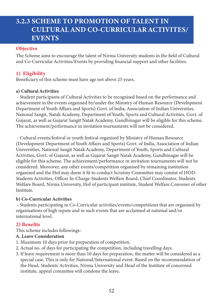# 3.2.3 SCHEME TO PROMOTION OF TALENT IN CULTURAL AND CO-CURRICULAR ACTIVITES/ EVENTS

#### **Objective**

The Scheme aims to encourage the talent of Nirma University students in the field of Cultural and Co-Curricular Activities/Events by providing financial support and other facilities.

# 1) Eligibility

Beneficiary of this scheme must have age not above 25 years.

#### a) Cultural Activities

 - Student participants of Cultural Activities to be recognised based on the performance and achievement in the events organised by/under the Ministry of Human Resource (Development Department of Youth Affairs and Sports) Govt. of India, Association of Indian Universities, National Sangit, Natak Academy, Department of Youth, Sports and Cultural Activities, Govt. of Gujarat, as well as Gujarat Sangit Natak Academy, Gandhinagar will be eligible for this scheme. The achievement/performance in invitation tournaments will not be considered.

 - Cultural events/festival or youth festival organised by Ministry of Human Resource (Development Department of Youth Affairs and Sports) Govt. of India, Association of Indian Universities, National Sangit Natak Academy, Department of Youth, Sports and Cultural Activities, Govt. of Gujarat, as well as Gujarat Sangit Natak Academy, Gandhinagar will be eligible for this scheme. The achievement/performance in invitation tournaments will not be considered. Moreover, any other events/competition organised by remaining institution organised and the HoI may deem it fit to conduct Scrutiny Committee may consist of HOD-Students Activities, Officer In-Charge-Students Welfare Board, Chief Coordinator, Students Welfare Board, Nirma University, HoI of participant institute, Student Welfare Convener of other Institute.

#### b) Co-Curricular Activities

 - Students participating in Co-Curricular activities/events/competitions that are organised by organisations of high repute and in such events that are acclaimed at national and/or international level.

# 2) Benefits

This scheme includes followings:

#### A. Leave Consideration

- 1. Maximum 10 days prior for preparation of competition.
- 2. Actual no. of days for participating the competition, including travelling days.
- 3. If leave requirement is more than 10 days for preparation, the matter will be considered as a special case. This is only for National/International event. Based on the recommendation of the Head, Students' Activities, Nirma University and Head of the Institute of concerned institute, appeal committee will condone the leave.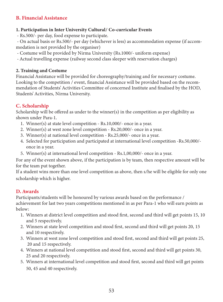# B. Financial Assistance

#### 1. Participation in Inter University Cultural/ Co-curricular Events

- Rs.500/- per day, food expense to participate.

 - On actual basis or Rs.500/- per day (whichever is less) as accommodation expense (if accommodation is not provided by the organiser)

- Costume will be provided by Nirma University (Rs.1000/- uniform expense)
- Actual travelling expense (railway second class sleeper with reservation charges)

#### 2. Training and Costume

Financial Assistance will be provided for choreography/training and for necessary costume. Looking to the competition / event, financial Assistance will be provided based on the recommendation of Students' Activities Committee of concerned Institute and finalised by the HOD, Students' Activities, Nirma University.

# C. Scholarship

Scholarship will be offered as under to the winner(s) in the competition as per eligibility as shown under Para-1.

- 1. Winner(s) at state level competition Rs.10,000/- once in a year.
- 2. Winner(s) at west zone level competition Rs.20,000/- once in a year.
- 3. Winner(s) at national level competition Rs.25,000/- once in a year.
- 4. Selected for participation and participated at international level competition -Rs.50,000/ once in a year.
- 5. Winner(s) at international level competition Rs.1,00,000/- once in a year.

For any of the event shown above, if the participation is by team, then respective amount will be for the team put together.

If a student wins more than one level competition as above, then s/he will be eligible for only one scholarship which is higher.

# D. Awards

Participants/students will be honoured by various awards based on the performance / achievement for last two years competitions mentioned in as per Para-1 who will earn points as below:

- 1. Winners at district level competition and stood first, second and third will get points 15, 10 and 5 respectively.
- 2. Winners at state level competition and stood first, second and third will get points 20, 15 and 10 respectively.
- 3. Winners at west zone level competition and stood first, second and third will get points 25, 20 and 15 respectively.
- 4. Winners at national level competition and stood first, second and third will get points 30, 25 and 20 respectively.
- 5. Winners at international level competition and stood first, second and third will get points 50, 45 and 40 respectively.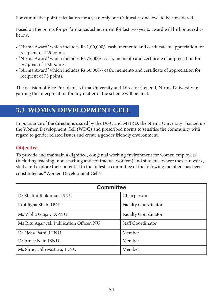For cumulative point calculation for a year, only one Cultural at one level to be considered.

Based on the points for performance/achievement for last two years, award will be honoured as below:

- "Nirma Award" which includes Rs.1,00,000/- cash, memento and certificate of appreciation for recipient of 125 points.
- "Nirma Award" which includes Rs.75,000/- cash, memento and certificate of appreciation for recipient of 100 points.
- "Nirma Award" which includes Rs.50,000/- cash, memento and certificate of appreciation for recipient of 75 points.

The decision of Vice President, Nirma University and Director General, Nirma University regarding the interpretation for any matter of the scheme will be final.

# 3.3 WOMEN DEVELOPMENT CELL

In pursuance of the directions issued by the UGC and MHRD, the Nirma University has set up the Women Development Cell (WDC) and prescribed norms to sensitise the community with regard to gender related issues and create a gender friendly environment.

# **Objective**

To provide and maintain a dignified, congenial working environment for women employees (including teaching, non-teaching and contractual workers) and students, where they can work, study and explore their potential to the fullest, a committee of the following members has been constituted as "Women Development Cell":

| <b>Committee</b>                         |                            |  |
|------------------------------------------|----------------------------|--|
| Dr Shalini Rajkumar, ISNU                | Chairperson                |  |
| Prof Jigna Shah, IPNU                    | <b>Faculty Coordinator</b> |  |
| Ms Vibha Gajjar, IAPNU                   | <b>Faculty Coordinator</b> |  |
| Ms Ritu Agarwal, Publication Officer, NU | Staff Coordinator          |  |
| Dr Neha Patni, ITNU                      | Member                     |  |
| Dr Amee Nair, ISNU                       | Member                     |  |
| Ms Shreya Shrivastava, ILNU              | Member                     |  |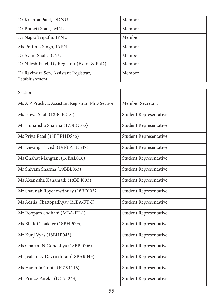| Dr Krishna Patel, DDNU                                  | Member |
|---------------------------------------------------------|--------|
| Dr Praneti Shah, IMNU                                   | Member |
| Dr Nagja Tripathi, IPNU                                 | Member |
| Ms Pratima Singh, IAPNU                                 | Member |
| Dr Avani Shah, ICNU                                     | Member |
| Dr Nilesh Patel, Dy Registrar (Exam & PhD)              | Member |
| Dr Ravindra Sen, Assistant Registrar,<br>Establtishment | Member |

| Section                                          |                               |
|--------------------------------------------------|-------------------------------|
| Ms A P Prashya, Assistant Registrar, PhD Section | Member Secretary              |
| Ms Ishwa Shah (18BCE218)                         | <b>Student Representative</b> |
| Mr Himanshu Sharma (17BEC105)                    | Student Representative        |
| Ms Priya Patel (18FTPHDS45)                      | <b>Student Representative</b> |
| Mr Devang Trivedi (19FTPHDS47)                   | Student Representative        |
| Ms Chahat Mangtani (16BAL016)                    | <b>Student Representative</b> |
| Mr Shivam Sharma (19BBL053)                      | <b>Student Representative</b> |
| Ms Akanksha Kanamadi (18BDI003)                  | <b>Student Representative</b> |
| Mr Shaunak Roychowdhury (18BDI032                | <b>Student Representative</b> |
| Ms Adrija Chattopadhyay (MBA-FT-I)               | <b>Student Representative</b> |
| Mr Roopam Sodhani (MBA-FT-I)                     | <b>Student Representative</b> |
| Ms Bhakti Thakker (18BHP006)                     | Student Representative        |
| Mr Kunj Vyas (18BHP043)                          | <b>Student Representative</b> |
| Ms Charmi N Gondaliya (18BPL006)                 | Student Representative        |
| Mr Jvalant N Devrukhkar (18BAR049)               | <b>Student Representative</b> |
| Ms Harshita Gupta (IC191116)                     | <b>Student Representative</b> |
| Mr Prince Parekh (IC191243)                      | Student Representative        |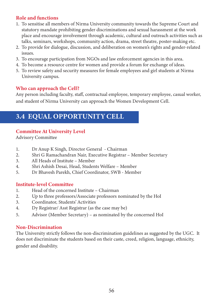# Role and functions

- 1. To sensitise all members of Nirma University community towards the Supreme Court and statutory mandate prohibiting gender discriminations and sexual harassment at the work place and encourage involvement through academic, cultural and outreach activities such as talks, seminars, workshops, community action, drama, street theatre, poster-making etc.
- 2. To provide for dialogue, discussion, and deliberation on women's rights and gender-related issues.
- 3. To encourage participation from NGOs and law enforcement agencies in this area.
- 4. To become a resource centre for women and provide a forum for exchange of ideas.
- 5. To review safety and security measures for female employees and girl students at Nirma University campus.

#### Who can approach the Cell?

Any person including faculty, staff, contractual employee, temporary employee, casual worker, and student of Nirma University can approach the Women Development Cell.

# 3.4 EQUAL OPPORTUNITY CELL

# Committee At University Level

Advisory Committee

- 1. Dr Anup K Singh, Director General Chairman
- 2. Shri G Ramachandran Nair, Executive Registrar Member Secretary
- 3. All Heads of Institute Member
- 4. Shri Ashish Desai, Head, Students Welfare Member
- 5. Dr Bhavesh Parekh, Chief Coordinator, SWB Member

#### Institute-level Committee

- 1. Head of the concerned Institute Chairman
- 2. Up to three professors/Associate professors nominated by the HoI
- 3. Coordinator, Students' Activities
- 4. Dy Registrar/ Asst Registrar (as the case may be)
- 5. Advisor (Member Secretary) as nominated by the concerned HoI

#### Non-Discrimination

The University strictly follows the non-discrimination guidelines as suggested by the UGC. It does not discriminate the students based on their caste, creed, religion, language, ethnicity, gender and disability.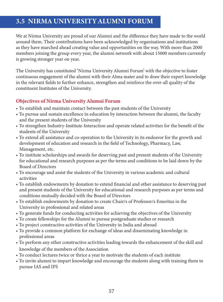# 3.5 NIRMA UNIVERSITY ALUMNI FORUM

We at Nirma University are proud of our Alumni and the difference they have made to the world around them. Their contributions have been acknowledged by organisations and institutions as they have marched ahead creating value and opportunities on the way. With more than 2000 members joining the group every year, the alumni network with about 15000 members currently is growing stronger year on year.

The University has constituted 'Nirma University Alumni Forum' with the objective to foster continuous engagement of the alumni with their Alma mater and to draw their expert knowledge in the relevant fields to further enhance, strengthen and reinforce the over-all quality of the constituent Institutes of the University.

# Objectives of Nirma University Alumni Forum

- To establish and maintain contact between the past students of the University
- To pursue and sustain excellence in education by interaction between the alumni, the faculty and the present students of the University
- To strengthen Industry-Institute-Interaction and operate related activities for the benefit of the students of the University
- To extend all assistance and co-operation to the University in its endeavor for the growth and development of education and research in the field of Technology, Pharmacy, Law, Management, etc.
- To institute scholarships and awards for deserving past and present students of the University for educational and research purposes as per the terms and conditions to be laid down by the Board of Directors
- To encourage and assist the students of the University in various academic and cultural activities
- To establish endowments by donation to extend financial and other assistance to deserving past and present students of the University for educational and research purposes as per terms and conditions mutually decided with the Board of Directors
- To establish endowments by donation to create Chair/s of Professor/s Emeritus in the University in professional and related areas
- To generate funds for conducting activities for achieving the objectives of the University
- To create fellowships for the Alumni to pursue postgraduate studies or research
- To project constructive activities of the University in India and abroad
- To provide a common platform for exchange of ideas and disseminating knowledge in professional areas
- To perform any other constructive activities leading towards the enhancement of the skill and knowledge of the members of the Association
- To conduct lectures twice or thrice a year to motivate the students of each institute
- To invite alumni to impart knowledge and encourage the students along with training them to pursue IAS and IPS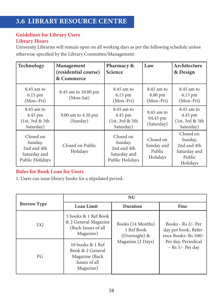# 3.6 LIBRARY RESOURCE CENTRE

# Guidelines for Library Users Library Hours

University Libraries will remain open on all working days as per the following schedule unless otherwise specified by the Library Committee/Management:

| Technology                                                             | Management<br>(residential course)<br>& Commerce | Pharmacy &<br><b>Science</b>                                           | Law                                           | Architecture<br>& Design                                                  |
|------------------------------------------------------------------------|--------------------------------------------------|------------------------------------------------------------------------|-----------------------------------------------|---------------------------------------------------------------------------|
| $8.45$ am to<br>6.15 pm<br>(Mon-Fri)                                   | 8.45 am to 10.00 pm<br>(Mon-Sat)                 | $8.45$ am to<br>6.15 pm<br>$(Mon-Fri)$                                 | $8.45$ am to<br>8.00 pm<br>$(Mon-Fri)$        | $8.45$ am to<br>$6.15 \text{ pm}$<br>$(Mon-Fri)$                          |
| $8.45$ am to<br>4.45 pm<br>(1st, 3rd & 5th<br>Saturday)                | 9.00 am to 4.30 pm<br>(Sunday)                   | $8.45$ am to<br>4.45 pm<br>(1st, 3rd & 5th)<br>Saturday)               | $8.45$ am to<br>04.45 pm<br>(Saturday)        | $8.45$ am to<br>4.45 pm<br>(1st, 3rd & 5th)<br>Saturday)                  |
| Closed on<br>Sunday,<br>2nd and 4th<br>Saturday and<br>Public Holidays | Closed on Public<br>Holidays                     | Closed on<br>Sunday,<br>2nd and 4th<br>Saturday and<br>Public Holidays | Closed on<br>Sunday and<br>Public<br>Holidays | Closed on<br>Sunday,<br>2nd and 4th<br>Saturday and<br>Public<br>Holidays |

#### Rules for Book Loan for Users

1. Users can issue library books for a stipulated period.

|                    | <b>NU</b>                                                                            |                                                  |                                                                   |
|--------------------|--------------------------------------------------------------------------------------|--------------------------------------------------|-------------------------------------------------------------------|
| <b>Borrow Type</b> | <b>Loan Limit</b>                                                                    | <b>Duration</b>                                  | Fine                                                              |
| UG                 | 5 books & 1 Ref Book<br>& 2 General Magazine<br>(Back Issues of all<br>Magazine)     | Books (14 Months)<br>1 Ref Book<br>(Overnight) & | Books - Rs 2/- Per<br>day per book, Refer-<br>ence Books-Rs 100/- |
| PG                 | 10 books & 1 Ref<br>Book & 2 General<br>Magazine (Back<br>Issues of all<br>Magazine) | Magazine (2 Days)                                | Per day, Periodical<br>$-$ Rs 5/- Per day                         |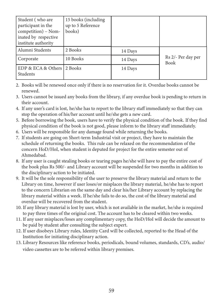| Student (who are<br>participant in the<br>competition) - Nom-<br>inated by respective<br>institute authority | 15 books (including<br>up to 5 Reference<br>books) |         |                                   |
|--------------------------------------------------------------------------------------------------------------|----------------------------------------------------|---------|-----------------------------------|
| Alumni Students                                                                                              | 2 Books                                            | 14 Days |                                   |
| Corporate                                                                                                    | 10 Books                                           | 14 Days | Rs 2/- Per day per<br><b>Book</b> |
| EDP & ECA & Others 2 Books<br>Students                                                                       |                                                    | 14 Days |                                   |

- 2. Books will be renewed once only if there is no reservation for it. Overdue books cannot be renewed.
- 3. Users cannot be issued any books from the library, if any overdue book is pending to return in their account.
- 4. If any user's card is lost, he/she has to report to the library staff immediately so that they can stop the operation of his/her account until he/she gets a new card.
- 5. Before borrowing the book, users have to verify the physical condition of the book. If they find physical condition of the book is not good, please inform to the library staff immediately.
- 6. Users will be responsible for any damage found while returning the books.
- 7. If students are going on Short-term Industrial visit or project, they have to maintain the schedule of returning the books. This rule can be relaxed on the recommendation of the concern HoD/HoI, when student is deputed for project for the entire semester out of Ahmedabad.
- 8. If any user is caught stealing books or tearing pages he/she will have to pay the entire cost of the book plus Rs 500/- and Library account will be suspended for two months in addition to the disciplinary action to be initiated.
- 9. It will be the sole responsibility of the user to preserve the library material and return to the Library on time, however if user loses/or misplaces the library material, he/she has to report to the concern Librarian on the same day and clear his/her Library account by replacing the library material within a week. If he/she fails to do so, the cost of the library material and overdue will be recovered from the student.
- 10. If any library material is lost by user, which is not available in the market, he/she is required to pay three times of the original cost. The account has to be cleared within two weeks.
- 11. If any user misplaces/loses any complimentary copy, the HoD/HoI will decide the amount to be paid by student after consulting the subject expert.
- 12. If user disobeys Library rules, Identity Card will be collected, reported to the Head of the Institution for initiating disciplinary action.
- 13. Library Resources like reference books, periodicals, bound volumes, standards, CD's, audio/ video cassettes are to be referred within library premises.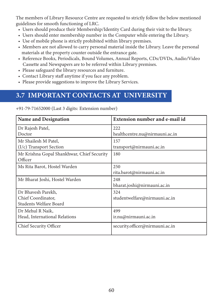The members of Library Resource Centre are requested to strictly follow the below mentioned guidelines for smooth functioning of LRC.

- Users should produce their Membership/Identity Card during their visit to the library.
- Users should enter membership number in the Computer while entering the Library.
- Use of mobile phone is strictly prohibited within library premises.
- Members are not allowed to carry personal material inside the Library. Leave the personal materials at the property counter outside the entrance gate.
- Reference Books, Periodicals, Bound Volumes, Annual Reports, CDs/DVDs, Audio/Video Cassette and Newspapers are to be referred within Library premises.
- Please safeguard the library resources and furniture.
- Contact Library staff anytime if you face any problem.
- Please provide suggestions to improve the Library Services.

# 3.7 IMPORTANT CONTACTS AT UNIVERSITY

| <b>Name and Designation</b>                | <b>Extension number and e-mail id</b> |
|--------------------------------------------|---------------------------------------|
| Dr Rajesh Patel,                           | 222                                   |
| Doctor                                     | healthcentre.nu@nirmauni.ac.in        |
| Mr Shailesh M Patel,                       | 157                                   |
| $(I/c)$ Transport Section                  | transport@nirmauni.ac.in              |
| Mr Krishna Gopal Shankhwar, Chief Security | 180                                   |
| Officer                                    |                                       |
| Ms Rita Barot, Hostel Warden               | 250                                   |
|                                            | rita.barot@nirmauni.ac.in             |
| Mr Bharat Joshi, Hostel Warden             | 248                                   |
|                                            | bharat.joshi@nirmauni.ac.in           |
| Dr Bhavesh Parekh,                         | 324                                   |
| Chief Coordinator,                         | studentwelfare@nirmauni.ac.in         |
| Students Welfare Board                     |                                       |
| Dr Mehul R Naik,                           | 499                                   |
| Head, International Relations              | ir.nu@nirmauni.ac.in                  |
| Chief Security Officer                     | security.officer@nirmauni.ac.in       |

+91-79-71652000 (Last 3 digits: Extension number)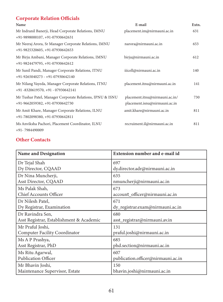### Corporate Relation Officials

| Name                                                                                            | E-mail                                                          | Extn. |
|-------------------------------------------------------------------------------------------------|-----------------------------------------------------------------|-------|
| Mr Indranil Banerji, Head Corporate Relations, IMNU                                             | placement.im@nirmauni.ac.in                                     | 631   |
| +91-9898000107, +91-07930642631                                                                 |                                                                 |       |
| Mr Neeraj Arora, Sr Manager Corporate Relations, IMNU<br>+91-9825320605, +91-07930642653        | narora@nirmauni.ac.in                                           | 653   |
| Mr Birju Ambani, Manager Corporate Relations, IMNU<br>+91-9824479795, +91-07930642612           | birju@nirmauni.ac.in                                            | 612   |
| Mr Sunil Pandi, Manager Corporate Relations, ITNU<br>$+91-9265040273 - +91-07930642140$         | iiicell@nirmauni.ac.in                                          | 140   |
| Mr Nilang Vayeda, Manager Corporate Relations, ITNU<br>$+91 - 8320619570$ , $+91 - 07930642141$ | placement.itnu@nirmauni.ac.in                                   | 141   |
| Mr Tushar Patel, Manager Corporate Relations, IPNU & ISNU<br>+91-9662059382, +91-07930642730    | placement.itnu@nirmauni.ac.in/<br>placement.isnu@nirmauni.ac.in | 730   |
| Mr Amit Khare, Manager Corporate Relations, ILNU<br>+91-7802098380, +91-07930642811             | amit.khare@nirmauni.ac.in                                       | 811   |
| Ms Anviksha Pachori, Placement Coordinator, ILNU<br>+91-7984490009                              | recruiment.il@nirmauni.ac.in                                    | 811   |

#### Other Contacts

| <b>Name and Designation</b>              | Extension number and e-mail id     |
|------------------------------------------|------------------------------------|
| Dr Tejal Shah                            | 697                                |
| Dy Director, CQAAD                       | dy.director.adr@nirmauni.ac.in     |
| Dr Nina Muncherji,                       | 635                                |
| Asst Director, CQAAD                     | nmuncherji@nirmauni.ac.in          |
| Ms Palak Shah,                           | 673                                |
| Chief Accounts Officer                   | account_officer@nirmauni.ac.in     |
| Dr Nilesh Patel,                         | 671                                |
| Dy Registrar, Examination                | dy_registrar.exam@nirmauni.ac.in   |
| Dr Ravindra Sen,                         | 680                                |
| Asst Registrar, Establishment & Academic | asst_registrar@nirmauni.av.in      |
| Mr Praful Joshi,                         | 131                                |
| <b>Computer Facility Coordinator</b>     | praful.joshi@nirmauni.ac.in        |
| Ms A P Prashya,                          | 685                                |
| Asst Registrar, PhD                      | phd.section@nirmauni.ac.in         |
| Ms Ritu Agarwal,                         | 607                                |
| <b>Publication Officer</b>               | publication.officer@nirmauni.ac.in |
| Mr Bhavin Joshi,                         | 150                                |
| Maintenance Supervisor, Estate           | bhavin.joshi@nirmauni.ac.in        |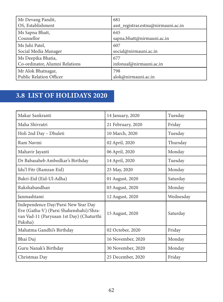| Mr Devang Pandit,              | 681                                 |
|--------------------------------|-------------------------------------|
| OS, Establishment              | asst_registrar.estnu@nirmauni.ac.in |
| Ms Sapna Bhatt,                | 645                                 |
| Counsellor                     | sapna.bhatt@nirmauni.ac.in          |
| Ms Juhi Patel,                 | 607                                 |
| Social Media Manager           | social@nirmauni.ac.in               |
| Ms Deepika Bhatia,             | 677                                 |
| Co-ordinator, Alumni Relations | infonuaf@nirmauni.ac.in             |
| Mr Alok Bhatnagar,             | 798                                 |
| Public Relation Officer        | alok@nirmauni.ac.in                 |

# 3.8 LIST OF HOLIDAYS 2020

| Makar Sankranti                                                                                                                       | 14 January, 2020  | Tuesday   |
|---------------------------------------------------------------------------------------------------------------------------------------|-------------------|-----------|
| Maha Shivratri                                                                                                                        | 21 February, 2020 | Friday    |
| Holi 2nd Day - Dhuleti                                                                                                                | 10 March, 2020    | Tuesday   |
| Ram Navmi                                                                                                                             | 02 April, 2020    | Thursday  |
| Mahavir Jayanti                                                                                                                       | 06 April, 2020    | Monday    |
| Dr Babasaheb Ambedkar's Birthday                                                                                                      | 14 April, 2020    | Tuesday   |
| Idu'l Fitr (Ramzan Eid)                                                                                                               | 25 May, 2020      | Monday    |
| Bakri-Eid (Eid-Ul-Adha)                                                                                                               | 01 August, 2020   | Saturday  |
| Rakshabandhan                                                                                                                         | 03 August, 2020   | Monday    |
| Janmashtami                                                                                                                           | 12 August, 2020   | Wednesday |
| Independence Day/Parsi New Year Day<br>Eve (Gatha-V) (Parsi Shahenshahi)/Shra-<br>van Vad-11 (Paryusan 1st Day) (Chaturthi<br>Paksha) | 15 August, 2020   | Saturday  |
| Mahatma Gandhi's Birthday                                                                                                             | 02 October, 2020  | Friday    |
| Bhai Duj                                                                                                                              | 16 November, 2020 | Monday    |
| Guru Nanak's Birthday                                                                                                                 | 30 November, 2020 | Monday    |
| Christmas Day                                                                                                                         | 25 December, 2020 | Friday    |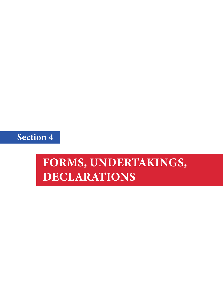

# FORMS, UNDERTAKINGS, DECLARATIONS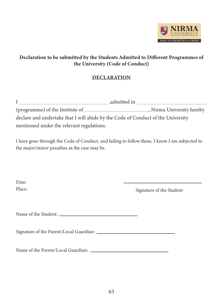

#### Declaration to be submitted by the Students Admitted to Different Programmes of the University (Code of Conduct)

#### **DECLARATION**

| declare and undertake that I will abide by the Code of Conduct of the University |  |
|----------------------------------------------------------------------------------|--|
| mentioned under the relevant regulations.                                        |  |

I have gone through the Code of Conduct, and failing to follow these, I know I am subjected to the major/minor penalties as the case may be.

| Date:  |                          |
|--------|--------------------------|
| Place: | Signature of the Student |
|        |                          |
|        |                          |
|        |                          |
|        |                          |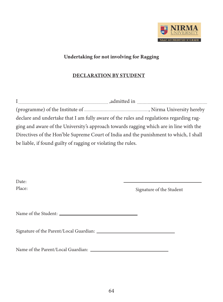

#### Undertaking for not involving for Ragging

#### DECLARATION BY STUDENT

| declare and undertake that I am fully aware of the rules and regulations regarding rag- |  |
|-----------------------------------------------------------------------------------------|--|
| ging and aware of the University's approach towards ragging which are in line with the  |  |
| Directives of the Hon'ble Supreme Court of India and the punishment to which, I shall   |  |
| be liable, if found guilty of ragging or violating the rules.                           |  |

| Date:  |                          |
|--------|--------------------------|
| Place: | Signature of the Student |
|        |                          |
|        |                          |
|        |                          |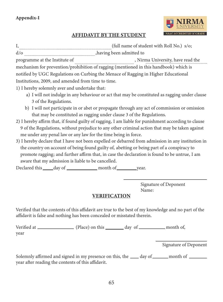

#### AFFIDAVIT BY THE STUDENT

I, (full name of student with Roll No.) s/o; d/o $\begin{array}{c} 1 \end{array}$  ,having been admitted to programme at the Institute of , Nirma University, have read the mechanism for prevention/prohibition of ragging (mentioned in this handbook) which is notified by UGC Regulations on Curbing the Menace of Ragging in Higher Educational Institutions, 2009, and amended from time to time. 1) I hereby solemnly aver and undertake that:

- a) I will not indulge in any behaviour or act that may be constituted as ragging under clause 3 of the Regulations.
- b) I will not participate in or abet or propagate through any act of commission or omission that may be constituted as ragging under clause 3 of the Regulations.
- 2) I hereby affirm that, if found guilty of ragging, I am liable for punishment according to clause 9 of the Regulations, without prejudice to any other criminal action that may be taken against me under any penal law or any law for the time being in force.
- 3) I hereby declare that I have not been expelled or debarred from admission in any institution in the country on account of being found guilty of, abetting or being part of a conspiracy to promote ragging; and further affirm that, in case the declaration is found to be untrue, I am aware that my admission is liable to be cancelled.

Declared this day of month of year.

Signature of Deponent Name:

#### VERIFICATION

Verified that the contents of this affidavit are true to the best of my knowledge and no part of the affidavit is false and nothing has been concealed or misstated therein.

Verified at \_\_\_\_\_\_\_\_\_\_\_\_\_\_\_ (Place) on this \_\_\_\_\_\_\_ day of \_\_\_\_\_\_\_\_\_ month of, year

Signature of Deponent

Solemnly affirmed and signed in my presence on this, the sum day of summath of summath of  $\sim$ year after reading the contents of this affidavit.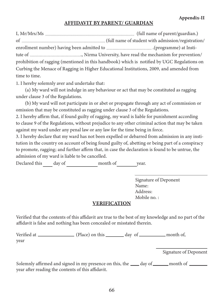#### AFFIDAVIT BY PARENT/ GUARDIAN

I, Mr/Mrs/Ms (full name of parent/guardian.) of (full name of student with admission/registration/ enrollment number) having been admitted to .(programme) at Institute of ., Nirma University, have read the mechanism for prevention/ prohibition of ragging (mentioned in this handbook) which is notified by UGC Regulations on Curbing the Menace of Ragging in Higher Educational Institutions, 2009, and amended from time to time.

1. I hereby solemnly aver and undertake that:

 (a) My ward will not indulge in any behaviour or act that may be constituted as ragging under clause 3 of the Regulations.

 (b) My ward will not participate in or abet or propagate through any act of commission or omission that may be constituted as ragging under clause 3 of the Regulations.

2. I hereby affirm that, if found guilty of ragging, my ward is liable for punishment according to clause 9 of the Regulations, without prejudice to any other criminal action that may be taken against my ward under any penal law or any law for the time being in force.

3. I hereby declare that my ward has not been expelled or debarred from admission in any institution in the country on account of being found guilty of, abetting or being part of a conspiracy to promote, ragging; and further affirm that, in case the declaration is found to be untrue, the admission of my ward is liable to be cancelled.

Declared this day of month of year.

Signature of Deponent Name: Address: Mobile no. :

#### VERIFICATION

Verified that the contents of this affidavit are true to the best of my knowledge and no part of the affidavit is false and nothing has been concealed or misstated therein.

Verified at \_\_\_\_\_\_\_\_\_\_\_\_\_\_\_ (Place) on this \_\_\_\_\_\_\_ day of \_\_\_\_\_\_\_\_\_\_ month of, year

Signature of Deponent

Solemnly affirmed and signed in my presence on this, the  $\_\_\_\_day$  of  $\_\_\_\_\$  month of  $\_\_\_\_\$ year after reading the contents of this affidavit.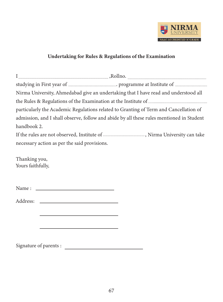

#### Undertaking for Rules & Regulations of the Examination

| Nirma University, Ahmedabad give an undertaking that I have read and understood all      |  |
|------------------------------------------------------------------------------------------|--|
|                                                                                          |  |
| particularly the Academic Regulations related to Granting of Term and Cancellation of    |  |
| admission, and I shall observe, follow and abide by all these rules mentioned in Student |  |
| handbook 2.                                                                              |  |
|                                                                                          |  |
| necessary action as per the said provisions.                                             |  |

Thanking you, Yours faithfully,

Name :

Address:

Signature of parents :

the control of the control of the control of the control of the control of

<u> 1989 - Johann Barbara, martxa alemaniar a</u>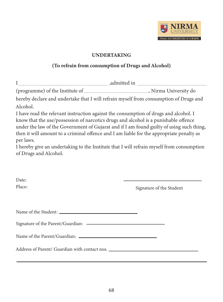

#### UNDERTAKING

#### (To refrain from consumption of Drugs and Alcohol)

| hereby declare and undertake that I will refrain myself from consumption of Drugs and                                                                                                                                                                                                                                                                                            |                          |
|----------------------------------------------------------------------------------------------------------------------------------------------------------------------------------------------------------------------------------------------------------------------------------------------------------------------------------------------------------------------------------|--------------------------|
| Alcohol.                                                                                                                                                                                                                                                                                                                                                                         |                          |
| I have read the relevant instruction against the consumption of drugs and alcohol. I<br>know that the use/possession of narcotics drugs and alcohol is a punishable offence<br>under the law of the Government of Gujarat and if I am found guilty of using such thing,<br>then it will amount to a criminal offence and I am liable for the appropriate penalty as<br>per laws. |                          |
| I hereby give an undertaking to the Institute that I will refrain myself from consumption                                                                                                                                                                                                                                                                                        |                          |
| of Drugs and Alcohol.                                                                                                                                                                                                                                                                                                                                                            |                          |
| Date:<br>Place:                                                                                                                                                                                                                                                                                                                                                                  | Signature of the Student |
|                                                                                                                                                                                                                                                                                                                                                                                  |                          |
|                                                                                                                                                                                                                                                                                                                                                                                  |                          |
| Name of the Parent/Guardian: Name of the Parent/Guardian:                                                                                                                                                                                                                                                                                                                        |                          |
| Address of Parent/ Guardian with contact nos. __________________________________                                                                                                                                                                                                                                                                                                 |                          |